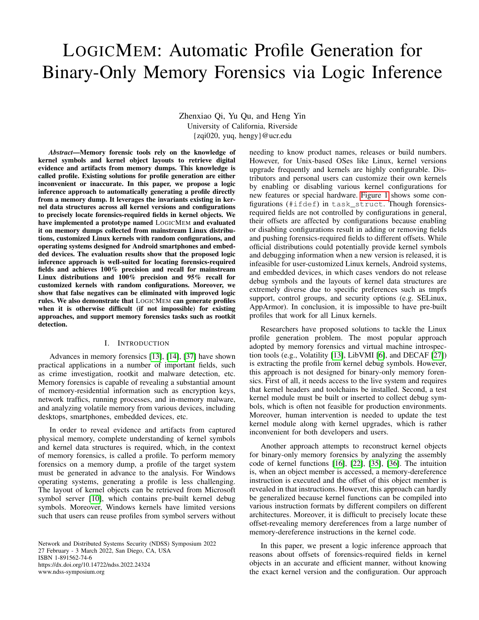# LOGICMEM: Automatic Profile Generation for Binary-Only Memory Forensics via Logic Inference

Zhenxiao Qi, Yu Qu, and Heng Yin University of California, Riverside {zqi020, yuq, hengy}@ucr.edu

*Abstract*—Memory forensic tools rely on the knowledge of kernel symbols and kernel object layouts to retrieve digital evidence and artifacts from memory dumps. This knowledge is called profile. Existing solutions for profile generation are either inconvenient or inaccurate. In this paper, we propose a logic inference approach to automatically generating a profile directly from a memory dump. It leverages the invariants existing in kernel data structures across all kernel versions and configurations to precisely locate forensics-required fields in kernel objects. We have implemented a prototype named LOGICMEM and evaluated it on memory dumps collected from mainstream Linux distributions, customized Linux kernels with random configurations, and operating systems designed for Android smartphones and embedded devices. The evaluation results show that the proposed logic inference approach is well-suited for locating forensics-required fields and achieves 100% precision and recall for mainstream Linux distributions and 100% precision and 95% recall for customized kernels with random configurations. Moreover, we show that false negatives can be eliminated with improved logic rules. We also demonstrate that LOGICMEM can generate profiles when it is otherwise difficult (if not impossible) for existing approaches, and support memory forensics tasks such as rootkit detection.

#### I. INTRODUCTION

Advances in memory forensics [\[13\]](#page-13-0), [\[14\]](#page-13-1), [\[37\]](#page-13-2) have shown practical applications in a number of important fields, such as crime investigation, rootkit and malware detection, etc. Memory forensics is capable of revealing a substantial amount of memory-residential information such as encryption keys, network traffics, running processes, and in-memory malware, and analyzing volatile memory from various devices, including desktops, smartphones, embedded devices, etc.

In order to reveal evidence and artifacts from captured physical memory, complete understanding of kernel symbols and kernel data structures is required, which, in the context of memory forensics, is called a profile. To perform memory forensics on a memory dump, a profile of the target system must be generated in advance to the analysis. For Windows operating systems, generating a profile is less challenging. The layout of kernel objects can be retrieved from Microsoft symbol server [\[10\]](#page-13-3), which contains pre-built kernel debug symbols. Moreover, Windows kernels have limited versions such that users can reuse profiles from symbol servers without

Network and Distributed Systems Security (NDSS) Symposium 2022 27 February - 3 March 2022, San Diego, CA, USA ISBN 1-891562-74-6 https://dx.doi.org/10.14722/ndss.2022.24324 www.ndss-symposium.org

needing to know product names, releases or build numbers. However, for Unix-based OSes like Linux, kernel versions upgrade frequently and kernels are highly configurable. Distributors and personal users can customize their own kernels by enabling or disabling various kernel configurations for new features or special hardware. [Figure 1](#page-1-0) shows some configurations (#ifdef) in task\_struct. Though forensicsrequired fields are not controlled by configurations in general, their offsets are affected by configurations because enabling or disabling configurations result in adding or removing fields and pushing forensics-required fields to different offsets. While official distributions could potentially provide kernel symbols and debugging information when a new version is released, it is infeasible for user-customized Linux kernels, Android systems, and embedded devices, in which cases vendors do not release debug symbols and the layouts of kernel data structures are extremely diverse due to specific preferences such as tmpfs support, control groups, and security options (e.g. SELinux, AppArmor). In conclusion, it is impossible to have pre-built profiles that work for all Linux kernels.

Researchers have proposed solutions to tackle the Linux profile generation problem. The most popular approach adopted by memory forensics and virtual machine introspection tools (e.g., Volatility [\[13\]](#page-13-0), LibVMI [\[6\]](#page-12-0), and DECAF [\[27\]](#page-13-4)) is extracting the profile from kernel debug symbols. However, this approach is not designed for binary-only memory forensics. First of all, it needs access to the live system and requires that kernel headers and toolchains be installed. Second, a test kernel module must be built or inserted to collect debug symbols, which is often not feasible for production environments. Moreover, human intervention is needed to update the test kernel module along with kernel upgrades, which is rather inconvenient for both developers and users.

Another approach attempts to reconstruct kernel objects for binary-only memory forensics by analyzing the assembly code of kernel functions [\[16\]](#page-13-5), [\[22\]](#page-13-6), [\[35\]](#page-13-7), [\[36\]](#page-13-8). The intuition is, when an object member is accessed, a memory-dereference instruction is executed and the offset of this object member is revealed in that instructions. However, this approach can hardly be generalized because kernel functions can be compiled into various instruction formats by different compilers on different architectures. Moreover, it is difficult to precisely locate these offset-revealing memory dereferences from a large number of memory-dereference instructions in the kernel code.

In this paper, we present a logic inference approach that reasons about offsets of forensics-required fields in kernel objects in an accurate and efficient manner, without knowing the exact kernel version and the configuration. Our approach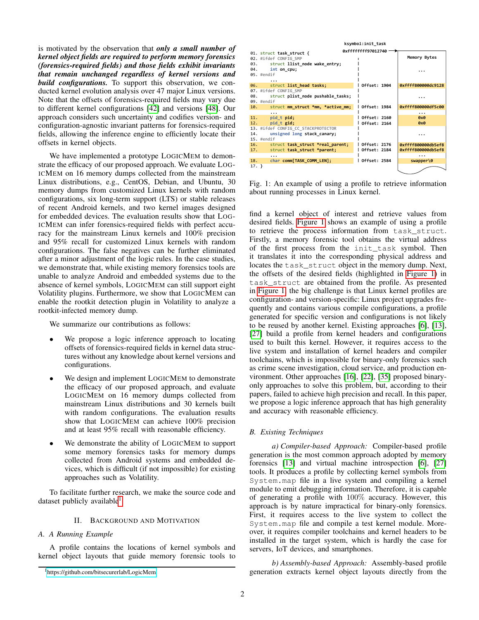is motivated by the observation that *only a small number of kernel object fields are required to perform memory forensics (forensics-required fields) and those fields exhibit invariants that remain unchanged regardless of kernel versions and build configurations.* To support this observation, we conducted kernel evolution analysis over 47 major Linux versions. Note that the offsets of forensics-required fields may vary due to different kernel configurations [\[42\]](#page-13-9) and versions [\[48\]](#page-14-0). Our approach considers such uncertainty and codifies version- and configuration-agnostic invariant patterns for forensics-required fields, allowing the inference engine to efficiently locate their offsets in kernel objects.

We have implemented a prototype LOGICMEM to demonstrate the efficacy of our proposed approach. We evaluate LOG-ICMEM on 16 memory dumps collected from the mainstream Linux distributions, e.g., CentOS, Debian, and Ubuntu, 30 memory dumps from customized Linux kernels with random configurations, six long-term support (LTS) or stable releases of recent Android kernels, and two kernel images designed for embedded devices. The evaluation results show that LOG-ICMEM can infer forensics-required fields with perfect accuracy for the mainstream Linux kernels and 100% precision and 95% recall for customized Linux kernels with random configurations. The false negatives can be further eliminated after a minor adjustment of the logic rules. In the case studies, we demonstrate that, while existing memory forensics tools are unable to analyze Android and embedded systems due to the absence of kernel symbols, LOGICMEM can still support eight Volatility plugins. Furthermore, we show that LOGICMEM can enable the rootkit detection plugin in Volatility to analyze a rootkit-infected memory dump.

We summarize our contributions as follows:

- We propose a logic inference approach to locating offsets of forensics-required fields in kernel data structures without any knowledge about kernel versions and configurations.
- We design and implement LOGICMEM to demonstrate the efficacy of our proposed approach, and evaluate LOGICMEM on 16 memory dumps collected from mainstream Linux distributions and 30 kernels built with random configurations. The evaluation results show that LOGICMEM can achieve 100% precision and at least 95% recall with reasonable efficiency.
- We demonstrate the ability of LOGICMEM to support some memory forensics tasks for memory dumps collected from Android systems and embedded devices, which is difficult (if not impossible) for existing approaches such as Volatility.

To facilitate further research, we make the source code and dataset publicly available<sup>[1](#page-1-1)</sup>.

## II. BACKGROUND AND MOTIVATION

## *A. A Running Example*

A profile contains the locations of kernel symbols and kernel object layouts that guide memory forensic tools to

*b) Assembly-based Approach:* Assembly-based profile generation extracts kernel object layouts directly from the

<span id="page-1-0"></span>

Fig. 1: An example of using a profile to retrieve information about running processes in Linux kernel.

find a kernel object of interest and retrieve values from desired fields. [Figure 1](#page-1-0) shows an example of using a profile to retrieve the process information from task\_struct. Firstly, a memory forensic tool obtains the virtual address of the first process from the init\_task symbol. Then it translates it into the corresponding physical address and locates the task\_struct object in the memory dump. Next, the offsets of the desired fields (highlighted in [Figure 1\)](#page-1-0) in task\_struct are obtained from the profile. As presented in [Figure 1,](#page-1-0) the big challenge is that Linux kernel profiles are configuration- and version-specific: Linux project upgrades frequently and contains various compile configurations, a profile generated for specific version and configurations is not likely to be reused by another kernel. Existing approaches [\[6\]](#page-12-0), [\[13\]](#page-13-0), [\[27\]](#page-13-4) build a profile from kernel headers and configurations used to built this kernel. However, it requires access to the live system and installation of kernel headers and compiler toolchains, which is impossible for binary-only forensics such as crime scene investigation, cloud service, and production environment. Other approaches [\[16\]](#page-13-5), [\[22\]](#page-13-6), [\[35\]](#page-13-7) proposed binaryonly approaches to solve this problem, but, according to their papers, failed to achieve high precision and recall. In this paper, we propose a logic inference approach that has high generality and accuracy with reasonable efficiency.

# *B. Existing Techniques*

*a) Compiler-based Approach:* Compiler-based profile generation is the most common approach adopted by memory forensics [\[13\]](#page-13-0) and virtual machine introspection [\[6\]](#page-12-0), [\[27\]](#page-13-4) tools. It produces a profile by collecting kernel symbols from System.map file in a live system and compiling a kernel module to emit debugging information. Therefore, it is capable of generating a profile with 100% accuracy. However, this approach is by nature impractical for binary-only forensics. First, it requires access to the live system to collect the System.map file and compile a test kernel module. Moreover, it requires compiler toolchains and kernel headers to be installed in the target system, which is hardly the case for servers, IoT devices, and smartphones.

<span id="page-1-1"></span><sup>1</sup><https://github.com/bitsecurerlab/LogicMem>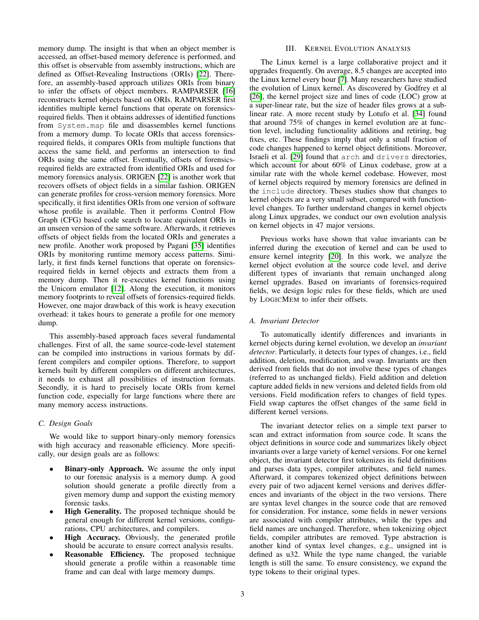memory dump. The insight is that when an object member is accessed, an offset-based memory deference is performed, and this offset is observable from assembly instructions, which are defined as Offset-Revealing Instructions (ORIs) [\[22\]](#page-13-6). Therefore, an assembly-based approach utilizes ORIs from binary to infer the offsets of object members. RAMPARSER [\[16\]](#page-13-5) reconstructs kernel objects based on ORIs. RAMPARSER first identifies multiple kernel functions that operate on forensicsrequired fields. Then it obtains addresses of identified functions from System.map file and disassembles kernel functions from a memory dump. To locate ORIs that access forensicsrequired fields, it compares ORIs from multiple functions that access the same field, and performs an intersection to find ORIs using the same offset. Eventually, offsets of forensicsrequired fields are extracted from identified ORIs and used for memory forensics analysis. ORIGEN [\[22\]](#page-13-6) is another work that recovers offsets of object fields in a similar fashion. ORIGEN can generate profiles for cross-version memory forensics. More specifically, it first identifies ORIs from one version of software whose profile is available. Then it performs Control Flow Graph (CFG) based code search to locate equivalent ORIs in an unseen version of the same software. Afterwards, it retrieves offsets of object fields from the located ORIs and generates a new profile. Another work proposed by Pagani [\[35\]](#page-13-7) identifies ORIs by monitoring runtime memory access patterns. Similarly, it first finds kernel functions that operate on forensicsrequired fields in kernel objects and extracts them from a memory dump. Then it re-executes kernel functions using the Unicorn emulator [\[12\]](#page-13-10). Along the execution, it monitors memory footprints to reveal offsets of forensics-required fields. However, one major drawback of this work is heavy execution overhead: it takes hours to generate a profile for one memory dump.

This assembly-based approach faces several fundamental challenges. First of all, the same source-code-level statement can be compiled into instructions in various formats by different compilers and compiler options. Therefore, to support kernels built by different compilers on different architectures, it needs to exhaust all possibilities of instruction formats. Secondly, it is hard to precisely locate ORIs from kernel function code, especially for large functions where there are many memory access instructions.

# *C. Design Goals*

We would like to support binary-only memory forensics with high accuracy and reasonable efficiency. More specifically, our design goals are as follows:

- **Binary-only Approach.** We assume the only input to our forensic analysis is a memory dump. A good solution should generate a profile directly from a given memory dump and support the existing memory forensic tasks.
- High Generality. The proposed technique should be general enough for different kernel versions, configurations, CPU architectures, and compilers.
- High Accuracy. Obviously, the generated profile should be accurate to ensure correct analysis results.
- Reasonable Efficiency. The proposed technique should generate a profile within a reasonable time frame and can deal with large memory dumps.

# III. KERNEL EVOLUTION ANALYSIS

<span id="page-2-0"></span>The Linux kernel is a large collaborative project and it upgrades frequently. On average, 8.5 changes are accepted into the Linux kernel every hour [\[7\]](#page-12-1). Many researchers have studied the evolution of Linux kernel. As discovered by Godfrey et al [\[26\]](#page-13-11), the kernel project size and lines of code (LOC) grow at a super-linear rate, but the size of header files grows at a sublinear rate. A more recent study by Lotufo et al. [\[34\]](#page-13-12) found that around 75% of changes in kernel evolution are at function level, including functionality additions and retiring, bug fixes, etc. These findings imply that only a small fraction of code changes happened to kernel object definitions. Moreover, Israeli et al. [\[29\]](#page-13-13) found that arch and drivers directories, which account for about 60% of Linux codebase, grow at a similar rate with the whole kernel codebase. However, most of kernel objects required by memory forensics are defined in the include directory. Theses studies show that changes to kernel objects are a very small subset, compared with functionlevel changes. To further understand changes in kernel objects along Linux upgrades, we conduct our own evolution analysis on kernel objects in 47 major versions.

Previous works have shown that value invariants can be inferred during the execution of kernel and can be used to ensure kernel integrity [\[20\]](#page-13-14). In this work, we analyze the kernel object evolution at the source code level, and derive different types of invariants that remain unchanged along kernel upgrades. Based on invariants of forensics-required fields, we design logic rules for these fields, which are used by LOGICMEM to infer their offsets.

# *A. Invariant Detector*

To automatically identify differences and invariants in kernel objects during kernel evolution, we develop an *invariant detector*. Particularly, it detects four types of changes, i.e., field addition, deletion, modification, and swap. Invariants are then derived from fields that do not involve these types of changes (referred to as unchanged fields). Field addition and deletion capture added fields in new versions and deleted fields from old versions. Field modification refers to changes of field types. Field swap captures the offset changes of the same field in different kernel versions.

The invariant detector relies on a simple text parser to scan and extract information from source code. It scans the object definitions in source code and summarizes likely object invariants over a large variety of kernel versions. For one kernel object, the invariant detector first tokenizes its field definitions and parses data types, compiler attributes, and field names. Afterward, it compares tokenized object definitions between every pair of two adjacent kernel versions and derives differences and invariants of the object in the two versions. There are syntax level changes in the source code that are removed for consideration. For instance, some fields in newer versions are associated with compiler attributes, while the types and field names are unchanged. Therefore, when tokenizing object fields, compiler attributes are removed. Type abstraction is another kind of syntax level changes, e.g., unsigned int is defined as u32. While the type name changed, the variable length is still the same. To ensure consistency, we expand the type tokens to their original types.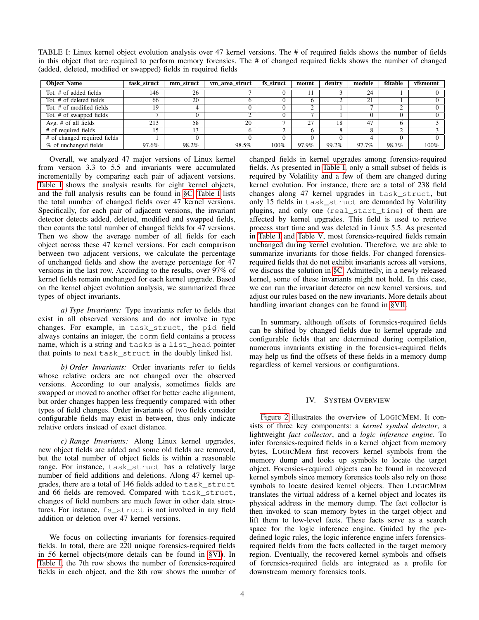| <b>Object Name</b>           | task struct | mm struct | vm area struct | fs struct | mount          | dentry | module       | fdtable | vfsmount |
|------------------------------|-------------|-----------|----------------|-----------|----------------|--------|--------------|---------|----------|
| Tot, # of added fields       | 146         | 26        |                |           |                |        | 24           |         |          |
| Tot, # of deleted fields     | 66          | 20        |                |           | <sub>0</sub>   |        | $^{\circ}$ 1 |         |          |
| Tot. # of modified fields    | 19          |           |                |           | ◠              |        |              |         |          |
| Tot. # of swapped fields     |             |           |                |           | $\overline{ }$ |        |              |         |          |
| Avg. $#$ of all fields       | 213         | 58        | 20             |           | 27             | 18     | 47           |         |          |
| # of required fields         |             | 13        |                |           | <sub>0</sub>   |        |              |         |          |
| # of changed required fields |             |           |                |           | $\Omega$       |        |              |         |          |
| % of unchanged fields        | 97.6%       | 98.2%     | 98.5%          | 100%      | 97.9%          | 99.2%  | 97.7%        | 98.7%   | 100%     |

<span id="page-3-0"></span>TABLE I: Linux kernel object evolution analysis over 47 kernel versions. The # of required fields shows the number of fields in this object that are required to perform memory forensics. The # of changed required fields shows the number of changed (added, deleted, modified or swapped) fields in required fields

Overall, we analyzed 47 major versions of Linux kernel from version 3.3 to 5.5 and invariants were accumulated incrementally by comparing each pair of adjacent versions. [Table I](#page-3-0) shows the analysis results for eight kernel objects, and the full analysis results can be found in [§C.](#page-14-1) [Table I](#page-3-0) lists the total number of changed fields over 47 kernel versions. Specifically, for each pair of adjacent versions, the invariant detector detects added, deleted, modified and swapped fields, then counts the total number of changed fields for 47 versions. Then we show the average number of all fields for each object across these 47 kernel versions. For each comparison between two adjacent versions, we calculate the percentage of unchanged fields and show the average percentage for 47 versions in the last row. According to the results, over 97% of kernel fields remain unchanged for each kernel upgrade. Based on the kernel object evolution analysis, we summarized three types of object invariants.

*a) Type Invariants:* Type invariants refer to fields that exist in all observed versions and do not involve in type changes. For example, in task\_struct, the pid field always contains an integer, the comm field contains a process name, which is a string and tasks is a list\_head pointer that points to next task\_struct in the doubly linked list.

*b) Order Invariants:* Order invariants refer to fields whose relative orders are not changed over the observed versions. According to our analysis, sometimes fields are swapped or moved to another offset for better cache alignment, but order changes happen less frequently compared with other types of field changes. Order invariants of two fields consider configurable fields may exist in between, thus only indicate relative orders instead of exact distance.

*c) Range Invariants:* Along Linux kernel upgrades, new object fields are added and some old fields are removed, but the total number of object fields is within a reasonable range. For instance, task struct has a relatively large number of field additions and deletions. Along 47 kernel upgrades, there are a total of 146 fields added to task\_struct and 66 fields are removed. Compared with task\_struct, changes of field numbers are much fewer in other data structures. For instance, fs\_struct is not involved in any field addition or deletion over 47 kernel versions.

We focus on collecting invariants for forensics-required fields. In total, there are 220 unique forensics-required fields in 56 kernel objects(more details can be found in [§VI\)](#page-8-0). In [Table I,](#page-3-0) the 7th row shows the number of forensics-required fields in each object, and the 8th row shows the number of changed fields in kernel upgrades among forensics-required fields. As presented in [Table I,](#page-3-0) only a small subset of fields is required by Volatility and a few of them are changed during kernel evolution. For instance, there are a total of 238 field changes along 47 kernel upgrades in task\_struct, but only 15 fields in task\_struct are demanded by Volatility plugins, and only one (real\_start\_time) of them are affected by kernel upgrades. This field is used to retrieve process start time and was deleted in Linux 5.5. As presented in [Table I](#page-3-0) and [Table V,](#page-15-0) most forensics-required fields remain unchanged during kernel evolution. Therefore, we are able to summarize invariants for those fields. For changed forensicsrequired fields that do not exhibit invariants across all versions, we discuss the solution in [§C.](#page-14-1) Admittedly, in a newly released kernel, some of these invariants might not hold. In this case, we can run the invariant detector on new kernel versions, and adjust our rules based on the new invariants. More details about handling invariant changes can be found in [§VII.](#page-11-0)

In summary, although offsets of forensics-required fields can be shifted by changed fields due to kernel upgrade and configurable fields that are determined during compilation, numerous invariants existing in the forensics-required fields may help us find the offsets of these fields in a memory dump regardless of kernel versions or configurations.

## IV. SYSTEM OVERVIEW

[Figure 2](#page-4-0) illustrates the overview of LOGICMEM. It consists of three key components: a *kernel symbol detector*, a lightweight *fact collector*, and a *logic inference engine*. To infer forensics-required fields in a kernel object from memory bytes, LOGICMEM first recovers kernel symbols from the memory dump and looks up symbols to locate the target object. Forensics-required objects can be found in recovered kernel symbols since memory forensics tools also rely on those symbols to locate desired kernel objects. Then LOGICMEM translates the virtual address of a kernel object and locates its physical address in the memory dump. The fact collector is then invoked to scan memory bytes in the target object and lift them to low-level facts. These facts serve as a search space for the logic inference engine. Guided by the predefined logic rules, the logic inference engine infers forensicsrequired fields from the facts collected in the target memory region. Eventually, the recovered kernel symbols and offsets of forensics-required fields are integrated as a profile for downstream memory forensics tools.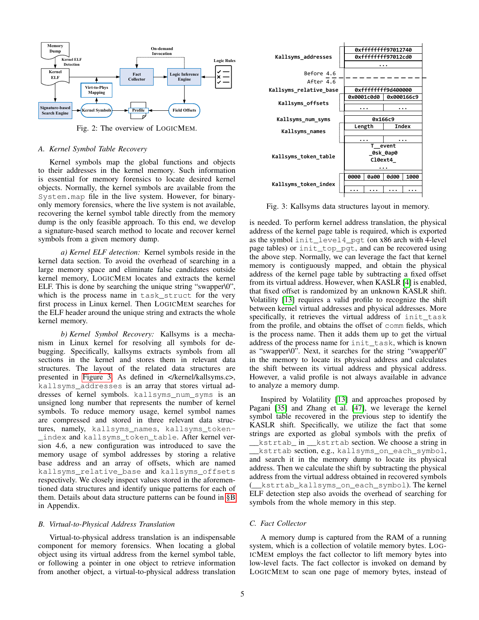<span id="page-4-0"></span>

Fig. 2: The overview of LOGICMEM.

#### <span id="page-4-2"></span>*A. Kernel Symbol Table Recovery*

Kernel symbols map the global functions and objects to their addresses in the kernel memory. Such information is essential for memory forensics to locate desired kernel objects. Normally, the kernel symbols are available from the System.map file in the live system. However, for binaryonly memory forensics, where the live system is not available, recovering the kernel symbol table directly from the memory dump is the only feasible approach. To this end, we develop a signature-based search method to locate and recover kernel symbols from a given memory dump.

*a) Kernel ELF detection:* Kernel symbols reside in the kernel data section. To avoid the overhead of searching in a large memory space and eliminate false candidates outside kernel memory, LOGICMEM locates and extracts the kernel ELF. This is done by searching the unique string "swapper\0", which is the process name in task struct for the very first process in Linux kernel. Then LOGICMEM searches for the ELF header around the unique string and extracts the whole kernel memory.

*b) Kernel Symbol Recovery:* Kallsyms is a mechanism in Linux kernel for resolving all symbols for debugging. Specifically, kallsyms extracts symbols from all sections in the kernel and stores them in relevant data structures. The layout of the related data structures are presented in [Figure 3.](#page-4-1) As defined in </kernel/kallsyms.c>, kallsyms\_addresses is an array that stores virtual addresses of kernel symbols. kallsyms\_num\_syms is an unsigned long number that represents the number of kernel symbols. To reduce memory usage, kernel symbol names are compressed and stored in three relevant data structures, namely, kallsyms\_names, kallsyms\_token- \_index and kallsyms\_token\_table. After kernel version 4.6, a new configuration was introduced to save the memory usage of symbol addresses by storing a relative base address and an array of offsets, which are named kallsyms\_relative\_base and kallsyms\_offsets respectively. We closely inspect values stored in the aforementioned data structures and identify unique patterns for each of them. Details about data structure patterns can be found in [§B](#page-14-2) in Appendix.

## <span id="page-4-3"></span>*B. Virtual-to-Physical Address Translation*

Virtual-to-physical address translation is an indispensable component for memory forensics. When locating a global object using its virtual address from the kernel symbol table, or following a pointer in one object to retrieve information from another object, a virtual-to-physical address translation

<span id="page-4-1"></span>

Fig. 3: Kallsyms data structures layout in memory.

is needed. To perform kernel address translation, the physical address of the kernel page table is required, which is exported as the symbol init\_level4\_pgt (on x86 arch with 4-level page tables) or init\_top\_pgt, and can be recovered using the above step. Normally, we can leverage the fact that kernel memory is contiguously mapped, and obtain the physical address of the kernel page table by subtracting a fixed offset from its virtual address. However, when KASLR [\[4\]](#page-12-2) is enabled, that fixed offset is randomized by an unknown KASLR shift. Volatility [\[13\]](#page-13-0) requires a valid profile to recognize the shift between kernel virtual addresses and physical addresses. More specifically, it retrieves the virtual address of init\_task from the profile, and obtains the offset of comm fields, which is the process name. Then it adds them up to get the virtual address of the process name for init\_task, which is known as "swapper\0". Next, it searches for the string "swapper\0" in the memory to locate its physical address and calculates the shift between its virtual address and physical address. However, a valid profile is not always available in advance to analyze a memory dump.

Inspired by Volatility [\[13\]](#page-13-0) and approaches proposed by Pagani [\[35\]](#page-13-7) and Zhang et al. [\[47\]](#page-14-3), we leverage the kernel symbol table recovered in the previous step to identify the KASLR shift. Specifically, we utilize the fact that some strings are exported as global symbols with the prefix of \_\_kstrtab\_ in \_\_kstrtab section. We choose a string in \_\_kstrtab section, e.g., kallsyms\_on\_each\_symbol, and search it in the memory dump to locate its physical address. Then we calculate the shift by subtracting the physical address from the virtual address obtained in recovered symbols kstrtab\_kallsyms\_on\_each\_symbol). The kernel ELF detection step also avoids the overhead of searching for symbols from the whole memory in this step.

## *C. Fact Collector*

A memory dump is captured from the RAM of a running system, which is a collection of volatile memory bytes. LOG-ICMEM employs the fact collector to lift memory bytes into low-level facts. The fact collector is invoked on demand by LOGICMEM to scan one page of memory bytes, instead of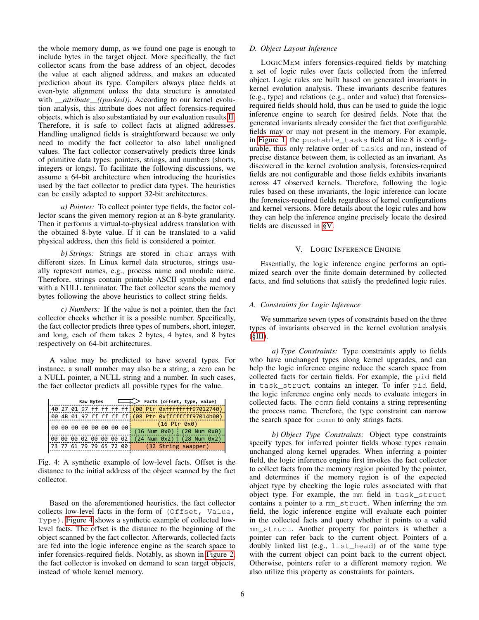the whole memory dump, as we found one page is enough to include bytes in the target object. More specifically, the fact collector scans from the base address of an object, decodes the value at each aligned address, and makes an educated prediction about its type. Compilers always place fields at even-byte alignment unless the data structure is annotated with *\_\_attribute\_\_((packed))*. According to our kernel evolution analysis, this attribute does not affect forensics-required objects, which is also substantiated by our evaluation results [II.](#page-9-0) Therefore, it is safe to collect facts at aligned addresses. Handling unaligned fields is straightforward because we only need to modify the fact collector to also label unaligned values. The fact collector conservatively predicts three kinds of primitive data types: pointers, strings, and numbers (shorts, integers or longs). To facilitate the following discussions, we assume a 64-bit architecture when introducing the heuristics used by the fact collector to predict data types. The heuristics can be easily adapted to support 32-bit architectures.

*a) Pointer:* To collect pointer type fields, the factor collector scans the given memory region at an 8-byte granularity. Then it performs a virtual-to-physical address translation with the obtained 8-byte value. If it can be translated to a valid physical address, then this field is considered a pointer.

*b) Strings:* Strings are stored in char arrays with different sizes. In Linux kernel data structures, strings usually represent names, e.g., process name and module name. Therefore, strings contain printable ASCII symbols and end with a NULL terminator. The fact collector scans the memory bytes following the above heuristics to collect string fields.

*c) Numbers:* If the value is not a pointer, then the fact collector checks whether it is a possible number. Specifically, the fact collector predicts three types of numbers, short, integer, and long, each of them takes 2 bytes, 4 bytes, and 8 bytes respectively on 64-bit architectures.

A value may be predicted to have several types. For instance, a small number may also be a string; a zero can be a NULL pointer, a NULL string and a number. In such cases, the fact collector predicts all possible types for the value.

<span id="page-5-0"></span>

| Raw Bytes |                                        |  |  |  |  |  |  | $\Box$ Facts (offset, type, value)                                 |  |  |  |  |
|-----------|----------------------------------------|--|--|--|--|--|--|--------------------------------------------------------------------|--|--|--|--|
|           |                                        |  |  |  |  |  |  | 40 27 01 97 ff ff ff ff <mark>:(00 Ptr 0xffffffff</mark> 97012740) |  |  |  |  |
|           |                                        |  |  |  |  |  |  | 00 4B 01 97 ff ff ff ff (08 Ptr 0xffffffff97014b00)                |  |  |  |  |
|           | 00 00 00 00 00 00 00 00 <mark>¦</mark> |  |  |  |  |  |  | $(16$ Ptr $0x0)$                                                   |  |  |  |  |
|           |                                        |  |  |  |  |  |  | $(16$ Num $0x0)$ $(20$ Num $0x0)$                                  |  |  |  |  |
|           |                                        |  |  |  |  |  |  | 00 00 00 02 00 00 00 02  (24 Num 0x2)   (28 Num 0x2)               |  |  |  |  |
|           |                                        |  |  |  |  |  |  | 73 77 61 79 79 65 72 00   (32 String swapper)                      |  |  |  |  |
|           |                                        |  |  |  |  |  |  |                                                                    |  |  |  |  |

Fig. 4: A synthetic example of low-level facts. Offset is the distance to the initial address of the object scanned by the fact collector.

Based on the aforementioned heuristics, the fact collector collects low-level facts in the form of (Offset, Value, Type). [Figure 4](#page-5-0) shows a synthetic example of collected lowlevel facts. The offset is the distance to the beginning of the object scanned by the fact collector. Afterwards, collected facts are fed into the logic inference engine as the search space to infer forensics-required fields. Notably, as shown in [Figure 2,](#page-4-0) the fact collector is invoked on demand to scan target objects, instead of whole kernel memory.

# *D. Object Layout Inference*

LOGICMEM infers forensics-required fields by matching a set of logic rules over facts collected from the inferred object. Logic rules are built based on generated invariants in kernel evolution analysis. These invariants describe features (e.g., type) and relations (e.g., order and value) that forensicsrequired fields should hold, thus can be used to guide the logic inference engine to search for desired fields. Note that the generated invariants already consider the fact that configurable fields may or may not present in the memory. For example, in [Figure 1,](#page-1-0) the pushable\_tasks field at line 8 is configurable, thus only relative order of tasks and mm, instead of precise distance between them, is collected as an invariant. As discovered in the kernel evolution analysis, forensics-required fields are not configurable and those fields exhibits invariants across 47 observed kernels. Therefore, following the logic rules based on these invariants, the logic inference can locate the forensics-required fields regardless of kernel configurations and kernel versions. More details about the logic rules and how they can help the inference engine precisely locate the desired fields are discussed in [§V.](#page-5-1)

## V. LOGIC INFERENCE ENGINE

<span id="page-5-1"></span>Essentially, the logic inference engine performs an optimized search over the finite domain determined by collected facts, and find solutions that satisfy the predefined logic rules.

## *A. Constraints for Logic Inference*

We summarize seven types of constraints based on the three types of invariants observed in the kernel evolution analysis  $(SIII).$ 

*a) Type Constraints:* Type constraints apply to fields who have unchanged types along kernel upgrades, and can help the logic inference engine reduce the search space from collected facts for certain fields. For example, the pid field in task\_struct contains an integer. To infer pid field, the logic inference engine only needs to evaluate integers in collected facts. The comm field contains a string representing the process name. Therefore, the type constraint can narrow the search space for comm to only strings facts.

*b) Object Type Constraints:* Object type constraints specify types for inferred pointer fields whose types remain unchanged along kernel upgrades. When inferring a pointer field, the logic inference engine first invokes the fact collector to collect facts from the memory region pointed by the pointer, and determines if the memory region is of the expected object type by checking the logic rules associated with that object type. For example, the mm field in task\_struct contains a pointer to a mm\_struct. When inferring the mm field, the logic inference engine will evaluate each pointer in the collected facts and query whether it points to a valid mm\_struct. Another property for pointers is whether a pointer can refer back to the current object. Pointers of a doubly linked list (e.g., list\_head) or of the same type with the current object can point back to the current object. Otherwise, pointers refer to a different memory region. We also utilize this property as constraints for pointers.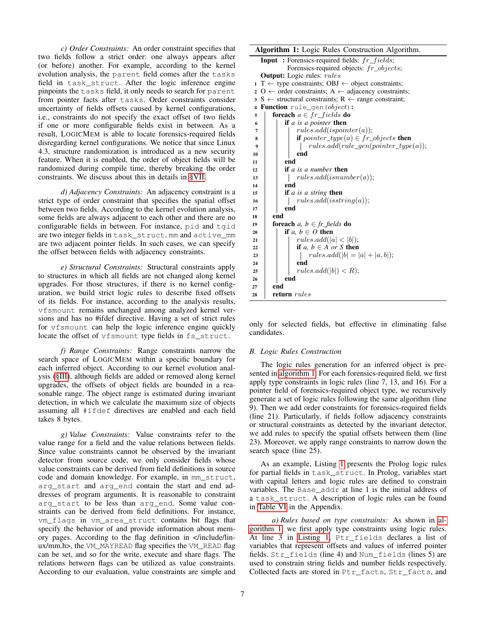*c) Order Constraints:* An order constraint specifies that two fields follow a strict order: one always appears after (or before) another. For example, according to the kernel evolution analysis, the parent field comes after the tasks field in task\_struct. After the logic inference engine pinpoints the tasks field, it only needs to search for parent from pointer facts after tasks. Order constraints consider uncertainty of fields offsets caused by kernel configurations, i.e., constraints do not specify the exact offset of two fields if one or more configurable fields exist in between. As a result, LOGICMEM is able to locate forensics-required fields disregarding kernel configurations. We notice that since Linux 4.3, structure randomization is introduced as a new security feature. When it is enabled, the order of object fields will be randomized during compile time, thereby breaking the order constraints. We discuss about this in details in [§VII.](#page-11-0)

*d) Adjacency Constraints:* An adjacency constraint is a strict type of order constraint that specifies the spatial offset between two fields. According to the kernel evolution analysis, some fields are always adjacent to each other and there are no configurable fields in between. For instance, pid and tgid are two integer fields in task\_struct. mm and active\_mm are two adjacent pointer fields. In such cases, we can specify the offset between fields with adjacency constraints.

*e) Structural Constraints:* Structural constraints apply to structures in which all fields are not changed along kernel upgrades. For those structures, if there is no kernel configuration, we build strict logic rules to describe fixed offsets of its fields. For instance, according to the analysis results, vfsmount remains unchanged among analyzed kernel versions and has no #ifdef directive. Having a set of strict rules for vfsmount can help the logic inference engine quickly locate the offset of vfsmount type fields in fs\_struct.

*f) Range Constraints:* Range constraints narrow the search space of LOGICMEM within a specific boundary for each inferred object. According to our kernel evolution analysis [\(§III\)](#page-2-0), although fields are added or removed along kernel upgrades, the offsets of object fields are bounded in a reasonable range. The object range is estimated during invariant detection, in which we calculate the maximum size of objects assuming all #ifdef directives are enabled and each field takes 8 bytes.

*g) Value Constraints:* Value constraints refer to the value range for a field and the value relations between fields. Since value constraints cannot be observed by the invariant detector from source code, we only consider fields whose value constraints can be derived from field definitions in source code and domain knowledge. For example, in mm\_struct, arg\_start and arg\_end contain the start and end addresses of program arguments. It is reasonable to constraint arg\_start to be less than arg\_end. Some value constraints can be derived from field definitions. For instance, vm\_flags in vm\_area\_struct contains bit flags that specify the behavior of and provide information about memory pages. According to the flag definition in </include/linux/mm.h>, the VM\_MAYREAD flag specifies the VM\_READ flag can be set, and so for the write, execute and share flags. The relations between flags can be utilized as value constraints. According to our evaluation, value constraints are simple and

## Algorithm 1: Logic Rules Construction Algorithm.

<span id="page-6-0"></span>

| $\mathbf{r}$ $\mathbf{r}$ $\mathbf{r}$ $\mathbf{r}$ $\mathbf{r}$ $\mathbf{r}$ $\mathbf{r}$ $\mathbf{r}$ $\mathbf{r}$ $\mathbf{r}$ $\mathbf{r}$ $\mathbf{r}$ $\mathbf{r}$ $\mathbf{r}$ $\mathbf{r}$ $\mathbf{r}$ $\mathbf{r}$ $\mathbf{r}$ $\mathbf{r}$ $\mathbf{r}$ $\mathbf{r}$ $\mathbf{r}$ $\mathbf{r}$ $\mathbf{r}$ $\mathbf{$ |
|------------------------------------------------------------------------------------------------------------------------------------------------------------------------------------------------------------------------------------------------------------------------------------------------------------------------------------|
| Input: Forensics-required fields: fr_fields;                                                                                                                                                                                                                                                                                       |
| Forensics-required objects: $fr\_objects$ ;                                                                                                                                                                                                                                                                                        |
| <b>Output:</b> Logic rules: <i>rules</i>                                                                                                                                                                                                                                                                                           |
| $1 T \leftarrow$ type constraints; OBJ $\leftarrow$ object constraints;                                                                                                                                                                                                                                                            |
| $2\,O \leftarrow$ order constraints; A $\leftarrow$ adjacency constraints;                                                                                                                                                                                                                                                         |
| $3 S \leftarrow$ structural constraints; R $\leftarrow$ range constraint;                                                                                                                                                                                                                                                          |
| <b>Function</b> rule_gen( <i>object</i> ):<br>4                                                                                                                                                                                                                                                                                    |
| <b>foreach</b> $a \in fr\_fields$ <b>do</b><br>5                                                                                                                                                                                                                                                                                   |
| <b>if</b> a is a pointer <b>then</b><br>6                                                                                                                                                                                                                                                                                          |
| rules.add(ispointer(a));<br>7                                                                                                                                                                                                                                                                                                      |
| <b>if</b> pointer_type(a) $\in$ fr_objects <b>then</b><br>8                                                                                                                                                                                                                                                                        |
| $rules.add(rule\_gen(pointer\_type(a));$<br>9                                                                                                                                                                                                                                                                                      |
| end<br>10                                                                                                                                                                                                                                                                                                                          |
| end<br>11                                                                                                                                                                                                                                                                                                                          |
| if $a$ is a number then<br>12                                                                                                                                                                                                                                                                                                      |
| rules.add(isnumber(a));<br>13                                                                                                                                                                                                                                                                                                      |
| end<br>14                                                                                                                                                                                                                                                                                                                          |
| <b>if</b> a is a string <b>then</b><br>15                                                                                                                                                                                                                                                                                          |
| rules.add(isstring(a));<br>16                                                                                                                                                                                                                                                                                                      |
| end<br>17                                                                                                                                                                                                                                                                                                                          |
| end<br>18                                                                                                                                                                                                                                                                                                                          |
| <b>foreach</b> a, $b \in fr$ fields <b>do</b><br>19                                                                                                                                                                                                                                                                                |
| if a, $b \in O$ then<br>20                                                                                                                                                                                                                                                                                                         |
| rules.add( a  <  b );<br>21                                                                                                                                                                                                                                                                                                        |
| if $a, b \in A$ or S then<br>22                                                                                                                                                                                                                                                                                                    |
| $rules.add( b  =  a  +  a, b );$<br>23                                                                                                                                                                                                                                                                                             |
| end<br>24                                                                                                                                                                                                                                                                                                                          |
| rules.add( b ) < R);<br>25                                                                                                                                                                                                                                                                                                         |
| end<br>26                                                                                                                                                                                                                                                                                                                          |
| end<br>27                                                                                                                                                                                                                                                                                                                          |
| return rules<br>28                                                                                                                                                                                                                                                                                                                 |

only for selected fields, but effective in eliminating false candidates.

#### *B. Logic Rules Construction*

The logic rules generation for an inferred object is presented in [algorithm 1.](#page-6-0) For each forensics-required field, we first apply type constraints in logic rules (line 7, 13, and 16). For a pointer field of forensics-required object type, we recursively generate a set of logic rules following the same algorithm (line 9). Then we add order constraints for forensics-required fields (line 21). Particularly, if fields follow adjacency constraints or structural constraints as detected by the invariant detector, we add rules to specify the spatial offsets between them (line 23). Moreover, we apply range constraints to narrow down the search space (line 25).

As an example, Listing [1](#page-7-0) presents the Prolog logic rules for partial fields in task\_struct. In Prolog, variables start with capital letters and logic rules are defined to constrain variables. The Base\_addr at line 1 is the initial address of a task\_struct. A description of logic rules can be found in [Table VI](#page-16-0) in the Appendix.

*a) Rules based on type constraints:* As shown in [al](#page-6-0)[gorithm 1,](#page-6-0) we first apply type constraints using logic rules. At line 3 in [Listing 1,](#page-7-0) Ptr\_fields declares a list of variables that represent offsets and values of inferred pointer fields. Str\_fields (line 4) and Num\_fields (lines 5) are used to constrain string fields and number fields respectively. Collected facts are stored in Ptr\_facts, Str\_facts, and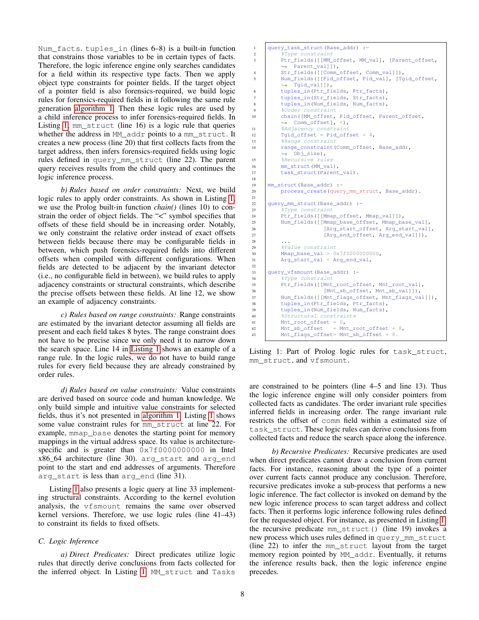Num\_facts. tuples\_in (lines 6–8) is a built-in function that constrains those variables to be in certain types of facts. Therefore, the logic inference engine only searches candidates for a field within its respective type facts. Then we apply object type constraints for pointer fields. If the target object of a pointer field is also forensics-required, we build logic rules for forensics-required fields in it following the same rule generation [algorithm 1.](#page-6-0) Then these logic rules are used by a child inference process to infer forensics-required fields. In Listing [1,](#page-7-0) mm\_struct (line 16) is a logic rule that queries whether the address in MM\_addr points to a mm\_struct. It creates a new process (line 20) that first collects facts from the target address, then infers forensics-required fields using logic rules defined in query\_mm\_struct (line 22). The parent query receives results from the child query and continues the logic inference process.

*b) Rules based on order constraints:* Next, we build logic rules to apply order constraints. As shown in Listing [1,](#page-7-0) we use the Prolog built-in function *chain()* (lines 10) to constrain the order of object fields. The "<" symbol specifies that offsets of these field should be in increasing order. Notably, we only constraint the relative order instead of exact offsets between fields because there may be configurable fields in between, which push forensics-required fields into different offsets when compiled with different configurations. When fields are detected to be adjacent by the invariant detector (i.e., no configurable field in between), we build rules to apply adjacency constraints or structural constraints, which describe the precise offsets between these fields. At line 12, we show an example of adjacency constraints.

*c) Rules based on range constraints:* Range constraints are estimated by the invariant detector assuming all fields are present and each field takes 8 bytes. The range constraint does not have to be precise since we only need it to narrow down the search space. Line 14 in [Listing 1](#page-7-0) shows an example of a range rule. In the logic rules, we do not have to build range rules for every field because they are already constrained by order rules.

*d) Rules based on value constraints:* Value constraints are derived based on source code and human knowledge. We only build simple and intuitive value constraints for selected fields, thus it's not presented in [algorithm 1.](#page-6-0) Listing [1](#page-7-0) shows some value constraint rules for mm\_struct at line 22. For example, mmap\_base denotes the starting point for memory mappings in the virtual address space. Its value is architecturespecific and is greater than  $0 \times 7f00000000000$  in Intel x86.64 architecture (line 30). arg start and argend point to the start and end addresses of arguments. Therefore arg\_start is less than arg\_end (line 31).

Listing [1](#page-7-0) also presents a logic query at line 33 implementing structural constraints. According to the kernel evolution analysis, the vfsmount remains the same over observed kernel versions. Therefore, we use logic rules (line 41–43) to constraint its fields to fixed offsets.

# *C. Logic Inference*

*a) Direct Predicates:* Direct predicates utilize logic rules that directly derive conclusions from facts collected for the inferred object. In Listing [1,](#page-7-0) MM\_struct and Tasks

```
1 query_task_struct(Base_addr) :-
2 | \frac{1}{2} | \frac{1}{2} Type constraint
3 Ptr_fields([[MM_offset, MM_val], [Parent_offset,
          \leftrightarrow Parent_val]]),
4 Str_fields([[Comm_offset, Comm_val]]),<br>5 Num fields([[Pid offset, Pid val], [To
          Num_fields([[Pid_offset, Pid_val], [Tgid_offset,
          ightharpoonup Tgid vall]),
6 tuples_in(Ptr_fields, Ptr_facts),
7 tuples_in(Str_fields, Str_facts),
8 tuples_in(Num_fields, Num_facts),
9 80rder constraint
10 chain([MM_offset, Pid_offset, Parent_offset,
          ,→ Comm_offset], <),
11 %Adjacency constraint
12 Tgid_offset = Pid_offset + 4,
13 Range constraint
14 | range_constraint(Comm_offset, Base addr,
          ,→ Obj_size),
15 | &Recursive rules
16 mm_struct(MM_val),
17 task struct (Parent val).
18
19 mm_struct(Base_addr) :-
20 process_create(query_mm_struct, Base_addr).
21
22 query_mm_struct(Base_addr) :-
23 | &Type constraint
24 Ptr_fields([[Mmap_offset, Mmap_val]]),
25 Num_fields([[Mmap_base_offset, Mmap_base_val],
26 [Arg_start_offset, Arg_start_val],
27 [Arg_end_offset, Arg_end_val]]),
28 ...
29 %Value constraint
30 Mmap_base_val > 0x7f0000000000,
31 Arg_start_val < Arg_end_val,
32
33 query_vfsmount(Base_addr) :-<br>34 \frac{2}{3} \frac{2}{3} \frac{2}{3} \frac{2}{3} \frac{2}{3} \frac{2}{3} \frac{2}{3} \frac{2}{3} \frac{2}{3} \frac{2}{3} \frac{2}{3} \frac{2}{3} \frac{2}{3} \frac{2}{3} \frac{2}{3} \frac{2}{3} \frac{2}{3} \frac{2}{3} \frac{2}{3$Type constant35 Ptr_fields([[Mnt_root_offset, Mnt_root_val],
36 [Mnt_sb_offset, Mnt_sb_val]]),<br>37 Num_fields([[Mnt_flags_offset, Mnt_flags_va
          Num_fields([[Mnt_flags_offset, Mnt_flags_val]]),
38 tuples_in(Ptr_fields, Ptr_facts),
39 tuples_in(Num_fields, Num_facts),
40 %Structural constraints
41 Mnt\_root\_offset = 0,<br>42 Mnt\_sb\_offset = Mn42 Mnt_sb_offset = Mnt_root_offset + 8,
43 Mnt_flags_offset= Mnt_sb_offset + 8.
```
Listing 1: Part of Prolog logic rules for task\_struct, mm\_struct, and vfsmount.

are constrained to be pointers (line 4–5 and line 13). Thus the logic inference engine will only consider pointers from collected facts as candidates. The order invariant rule specifies inferred fields in increasing order. The range invariant rule restricts the offset of comm field within a estimated size of task\_struct. These logic rules can derive conclusions from collected facts and reduce the search space along the inference.

*b) Recursive Predicates:* Recursive predicates are used when direct predicates cannot draw a conclusion from current facts. For instance, reasoning about the type of a pointer over current facts cannot produce any conclusion. Therefore, recursive predicates invoke a sub-process that performs a new logic inference. The fact collector is invoked on demand by the new logic inference process to scan target address and collect facts. Then it performs logic inference following rules defined for the requested object. For instance, as presented in Listing [1,](#page-7-0) the recursive predicate mm\_struct() (line 19) invokes a new process which uses rules defined in query\_mm\_struct (line 22) to infer the mm\_struct layout from the target memory region pointed by MM\_addr. Eventually, it returns the inference results back, then the logic inference engine precedes.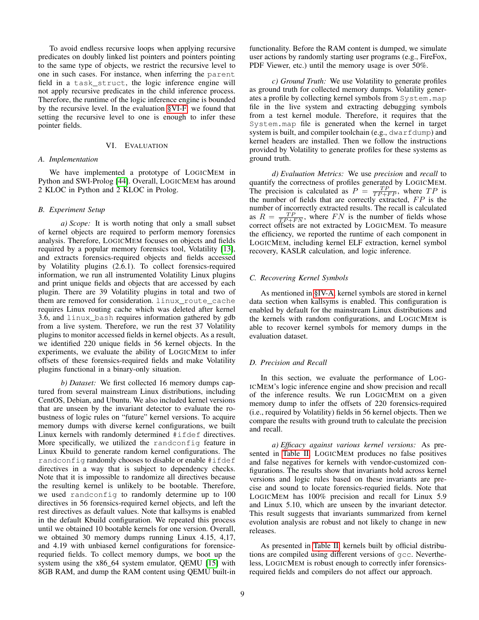To avoid endless recursive loops when applying recursive predicates on doubly linked list pointers and pointers pointing to the same type of objects, we restrict the recursive level to one in such cases. For instance, when inferring the parent field in a task\_struct, the logic inference engine will not apply recursive predicates in the child inference process. Therefore, the runtime of the logic inference engine is bounded by the recursive level. In the evaluation [§VI-F,](#page-9-1) we found that setting the recursive level to one is enough to infer these pointer fields.

## VI. EVALUATION

## <span id="page-8-0"></span>*A. Implementation*

We have implemented a prototype of LOGICMEM in Python and SWI-Prolog [\[44\]](#page-14-4). Overall, LOGICMEM has around 2 KLOC in Python and 2 KLOC in Prolog.

#### *B. Experiment Setup*

*a) Scope:* It is worth noting that only a small subset of kernel objects are required to perform memory forensics analysis. Therefore, LOGICMEM focuses on objects and fields required by a popular memory forensics tool, Volatility [\[13\]](#page-13-0), and extracts forensics-required objects and fields accessed by Volatility plugins (2.6.1). To collect forensics-required information, we run all instrumented Volatility Linux plugins and print unique fields and objects that are accessed by each plugin. There are 39 Volatility plugins in total and two of them are removed for consideration. linux\_route\_cache requires Linux routing cache which was deleted after kernel 3.6, and linux\_bash requires information gathered by gdb from a live system. Therefore, we run the rest 37 Volatility plugins to monitor accessed fields in kernel objects. As a result, we identified 220 unique fields in 56 kernel objects. In the experiments, we evaluate the ability of LOGICMEM to infer offsets of these forensics-required fields and make Volatility plugins functional in a binary-only situation.

*b) Dataset:* We first collected 16 memory dumps captured from several mainstream Linux distributions, including CentOS, Debian, and Ubuntu. We also included kernel versions that are unseen by the invariant detector to evaluate the robustness of logic rules on "future" kernel versions. To acquire memory dumps with diverse kernel configurations, we built Linux kernels with randomly determined #ifdef directives. More specifically, we utilized the randconfig feature in Linux Kbuild to generate random kernel configurations. The randconfig randomly chooses to disable or enable #ifdef directives in a way that is subject to dependency checks. Note that it is impossible to randomize all directives because the resulting kernel is unlikely to be bootable. Therefore, we used randconfig to randomly determine up to 100 directives in 56 forensics-required kernel objects, and left the rest directives as default values. Note that kallsyms is enabled in the default Kbuild configuration. We repeated this process until we obtained 10 bootable kernels for one version. Overall, we obtained 30 memory dumps running Linux 4.15, 4,17, and 4.19 with unbiased kernel configurations for forensicerequried fields. To collect memory dumps, we boot up the system using the x86\_64 system emulator, QEMU [\[15\]](#page-13-15) with 8GB RAM, and dump the RAM content using QEMU built-in functionality. Before the RAM content is dumped, we simulate user actions by randomly starting user programs (e.g., FireFox, PDF Viewer, etc.) until the memory usage is over 50%.

*c) Ground Truth:* We use Volatility to generate profiles as ground truth for collected memory dumps. Volatility generates a profile by collecting kernel symbols from System.map file in the live system and extracting debugging symbols from a test kernel module. Therefore, it requires that the System.map file is generated when the kernel in target system is built, and compiler toolchain (e.g., dwarfdump) and kernel headers are installed. Then we follow the instructions provided by Volatility to generate profiles for these systems as ground truth.

*d) Evaluation Metrics:* We use *precision* and *recall* to quantify the correctness of profiles generated by LOGICMEM. The precision is calculated as  $P = \frac{TP}{TP + FP}$ , where  $TP$  is the number of fields that are correctly extracted,  $FP$  is the number of incorrectly extracted results. The recall is calculated as  $R = \frac{TP}{TP + FN}$ , where FN is the number of fields whose correct offsets are not extracted by LOGICMEM. To measure the efficiency, we reported the runtime of each component in LOGICMEM, including kernel ELF extraction, kernel symbol recovery, KASLR calculation, and logic inference.

#### *C. Recovering Kernel Symbols*

As mentioned in [§IV-A,](#page-4-2) kernel symbols are stored in kernel data section when kallsyms is enabled. This configuration is enabled by default for the mainstream Linux distributions and the kernels with random configurations, and LOGICMEM is able to recover kernel symbols for memory dumps in the evaluation dataset.

#### *D. Precision and Recall*

In this section, we evaluate the performance of LOG-ICMEM's logic inference engine and show precision and recall of the inference results. We run LOGICMEM on a given memory dump to infer the offsets of 220 forensics-required (i.e., required by Volatility) fields in 56 kernel objects. Then we compare the results with ground truth to calculate the precision and recall.

*a) Efficacy against various kernel versions:* As presented in [Table II,](#page-9-0) LOGICMEM produces no false positives and false negatives for kernels with vendor-customized configurations. The results show that invariants hold across kernel versions and logic rules based on these invariants are precise and sound to locate forensics-requried fields. Note that LOGICMEM has 100% precision and recall for Linux 5.9 and Linux 5.10, which are unseen by the invariant detector. This result suggests that invariants summarized from kernel evolution analysis are robust and not likely to change in new releases.

As presented in [Table II,](#page-9-0) kernels built by official distributions are compiled using different versions of gcc. Nevertheless, LOGICMEM is robust enough to correctly infer forensicsrequired fields and compilers do not affect our approach.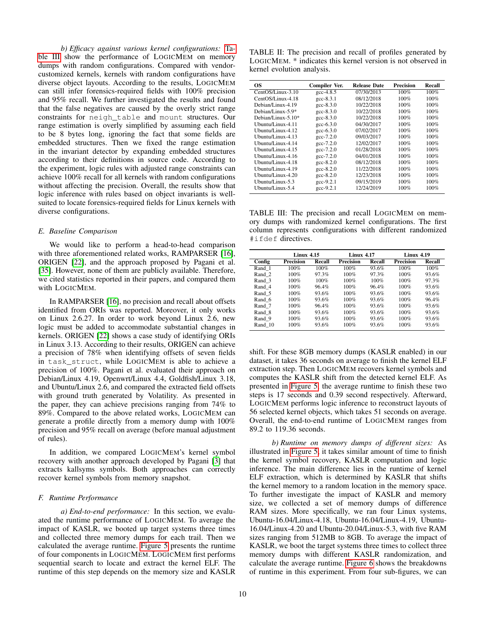*b) Efficacy against various kernel configurations:* [Ta](#page-9-2)[ble III](#page-9-2) show the performance of LOGICMEM on memory dumps with random configurations. Compared with vendorcustomized kernels, kernels with random configurations have diverse object layouts. According to the results, LOGICMEM can still infer forensics-required fields with 100% precision and 95% recall. We further investigated the results and found that the false negatives are caused by the overly strict range constraints for neigh\_table and mount structures. Our range estimation is overly simplified by assuming each field to be 8 bytes long, ignoring the fact that some fields are embedded structures. Then we fixed the range estimation in the invariant detector by expanding embedded structures according to their definitions in source code. According to the experiment, logic rules with adjusted range constraints can achieve 100% recall for all kernels with random configurations without affecting the precision. Overall, the results show that logic inference with rules based on object invariants is wellsuited to locate forensics-required fields for Linux kernels with diverse configurations.

## *E. Baseline Comparison*

We would like to perform a head-to-head comparison with three aforementioned related works, RAMPARSER [\[16\]](#page-13-5), ORIGEN [\[22\]](#page-13-6), and the approach proposed by Pagani et al. [\[35\]](#page-13-7). However, none of them are publicly available. Therefore, we cited statistics reported in their papers, and compared them with LOGICMEM.

In RAMPARSER [\[16\]](#page-13-5), no precision and recall about offsets identified from ORIs was reported. Moreover, it only works on Linux 2.6.27. In order to work beyond Linux 2.6, new logic must be added to accommodate substantial changes in kernels. ORIGEN [\[22\]](#page-13-6) shows a case study of identifying ORIs in Linux 3.13. According to their results, ORIGEN can achieve a precision of 78% when identifying offsets of seven fields in task\_struct, while LOGICMEM is able to achieve a precision of 100%. Pagani et al. evaluated their approach on Debian/Linux 4.19, Openwrt/Linux 4.4, Goldfish/Linux 3.18, and Ubuntu/Linux 2.6, and compared the extracted field offsets with ground truth generated by Volatility. As presented in the paper, they can achieve precisions ranging from 74% to 89%. Compared to the above related works, LOGICMEM can generate a profile directly from a memory dump with 100% precision and 95% recall on average (before manual adjustment of rules).

In addition, we compared LOGICMEM's kernel symbol recovery with another approach developed by Pagani [\[3\]](#page-12-3) that extracts kallsyms symbols. Both approaches can correctly recover kernel symbols from memory snapshot.

## <span id="page-9-1"></span>*F. Runtime Performance*

*a) End-to-end performance:* In this section, we evaluated the runtime performance of LOGICMEM. To average the impact of KASLR, we booted up target systems three times and collected three memory dumps for each trail. Then we calculated the average runtime. [Figure 5](#page-10-0) presents the runtime of four components in LOGICMEM. LOGICMEM first performs sequential search to locate and extract the kernel ELF. The runtime of this step depends on the memory size and KASLR

<span id="page-9-0"></span>TABLE II: The precision and recall of profiles generated by LOGICMEM. \* indicates this kernel version is not observed in kernel evolution analysis.

| OS.                   | Compiler Ver.                               | <b>Release Date</b> | Precision | Recall |
|-----------------------|---------------------------------------------|---------------------|-----------|--------|
| $CentOS/Linux-3.10$   | $\text{gcc}-4.8.5$                          | 07/30/2013          | 100%      | 100%   |
| CentOS/Linux-4.18     | $\text{gcc-8.3.1}$                          | 08/12/2018          | 100%      | 100%   |
| Debian/Linux-4.19     | $_{\rm gcc-8.3.0}$                          | 10/22/2018          | 100%      | 100%   |
| Debian/Linux-5.9*     | $_{\rm gcc-8.3.0}$                          | 10/22/2018          | 100%      | 100%   |
| Debian/Linux-5.10 $*$ | $\text{gcc-}8.3.0$                          | 10/22/2018          | 100%      | 100%   |
| Ubuntu/Linux-4.11     | $\text{gcc}-6.3.0$                          | 04/30/2017          | 100%      | 100%   |
| Ubuntu/Linux-4.12     | $\frac{\text{gcc}-6.3.0}{\text{gcc}-6.3.0}$ | 07/02/2017          | 100%      | 100%   |
| Ubuntu/Linux-4.13     | $\text{gcc-7.2.0}$                          | 09/03/2017          | 100%      | 100%   |
| Ubuntu/Linux-4.14     | $\text{gcc-7.2.0}$                          | 12/02/2017          | 100%      | 100%   |
| Ubuntu/Linux-4.15     | $\text{gcc-7.2.0}$                          | 01/28/2018          | 100%      | 100%   |
| Ubuntu/Linux-4.16     | $\text{gcc-7.2.0}$                          | 04/01/2018          | 100%      | 100%   |
| Ubuntu/Linux-4.18     | $\text{gcc-}8.2.0$                          | 08/12/2018          | 100%      | 100%   |
| Ubuntu/Linux-4.19     | $\text{gcc-}8.2.0$                          | 11/22/2018          | 100%      | 100%   |
| Ubuntu/Linux-4.20     | $\text{gcc-}8.2.0$                          | 12/23/2018          | 100%      | 100%   |
| Ubuntu/Linux-5.3      | $\text{gcc-}9.2.1$                          | 09/15/2019          | 100%      | 100%   |
| Ubuntu/Linux-5.4      | $\text{gcc-}9.2.1$                          | 12/24/2019          | 100%      | 100%   |

<span id="page-9-2"></span>TABLE III: The precision and recall LOGICMEM on memory dumps with randomized kernel configurations. The first column represents configurations with different randomized #ifdef directives.

|         | <b>Linux 4.15</b> |          | <b>Linux 4.17</b> |        | <b>Linux 4.19</b> |        |  |
|---------|-------------------|----------|-------------------|--------|-------------------|--------|--|
| Config  | <b>Precision</b>  | Recall   | <b>Precision</b>  | Recall | <b>Precision</b>  | Recall |  |
| Rand 1  | 100%              | 100%     | 100%              | 93.6%  | 100%              | 100%   |  |
| Rand 2  | 100%              | 97.3%    | $100\%$           | 97.3%  | 100%              | 93.6%  |  |
| Rand 3  | 100%              | 100%     | $100\%$           | 100%   | 100%              | 97.3%  |  |
| Rand 4  | 100%              | $96.4\%$ | $100\%$           | 96.4%  | 100%              | 93.6%  |  |
| Rand 5  | 100%              | 93.6%    | 100%              | 93.6%  | 100%              | 93.6%  |  |
| Rand 6  | 100%              | 93.6%    | $100\%$           | 93.6%  | 100%              | 96.4%  |  |
| Rand 7  | 100%              | $96.4\%$ | $100\%$           | 93.6%  | 100%              | 93.6%  |  |
| Rand 8  | 100%              | 93.6%    | 100%              | 93.6%  | 100%              | 93.6%  |  |
| Rand 9  | 100%              | 93.6%    | $100\%$           | 93.6%  | 100%              | 93.6%  |  |
| Rand 10 | 100%              | 93.6%    | 100%              | 93.6%  | 100%              | 93.6%  |  |

shift. For these 8GB memory dumps (KASLR enabled) in our dataset, it takes 36 seconds on average to finish the kernel ELF extraction step. Then LOGICMEM recovers kernel symbols and computes the KASLR shift from the detected kernel ELF. As presented in [Figure 5,](#page-10-0) the average runtime to finish these two steps is 17 seconds and 0.39 second respectively. Afterward, LOGICMEM performs logic inference to reconstruct layouts of 56 selected kernel objects, which takes 51 seconds on average. Overall, the end-to-end runtime of LOGICMEM ranges from 89.2 to 119.36 seconds.

*b) Runtime on memory dumps of different sizes:* As illustrated in [Figure 5,](#page-10-0) it takes similar amount of time to finish the kernel symbol recovery, KASLR computation and logic inference. The main difference lies in the runtime of kernel ELF extraction, which is determined by KASLR that shifts the kernel memory to a random location in the memory space. To further investigate the impact of KASLR and memory size, we collected a set of memory dumps of difference RAM sizes. More specifically, we ran four Linux systems, Ubuntu-16.04/Linux-4.18, Ubuntu-16.04/Linux-4.19, Ubuntu-16.04/Linux-4.20 and Ubuntu-20.04/Linux-5.3, with five RAM sizes ranging from 512MB to 8GB. To average the impact of KASLR, we boot the target systems three times to collect three memory dumps with different KASLR randomization, and calculate the average runtime. [Figure 6](#page-10-1) shows the breakdowns of runtime in this experiment. From four sub-figures, we can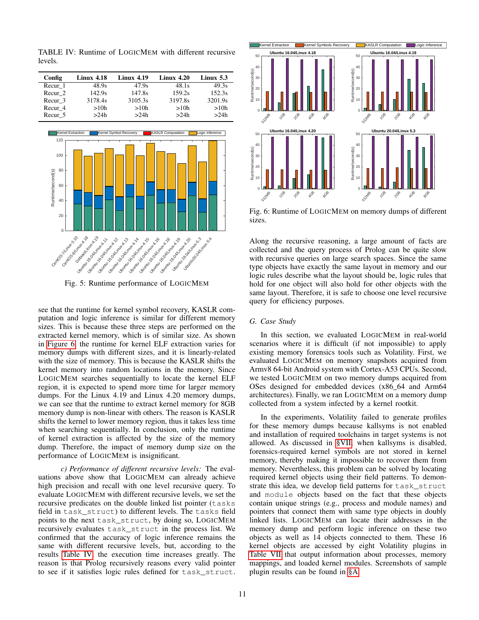<span id="page-10-2"></span>TABLE IV: Runtime of LOGICMEM with different recursive levels.

| Config  | $Linux\ 4.18$ | Linux 4.19 | $Linux\ 4.20$ | Linux $5.3$ |
|---------|---------------|------------|---------------|-------------|
| Recur 1 | 48.9s         | 47.9s      | 48.1s         | 49.3s       |
| Recur 2 | 142.9s        | 147.8s     | 159.2s        | 152.3s      |
| Recur 3 | 3178.4s       | 3105.3s    | 3197.8s       | 3201.9s     |
| Recur 4 | >10h          | >10h       | >10h          | >10h        |
| Recur 5 | >24h          | >24h       | >24h          | >24h        |

<span id="page-10-0"></span>

Fig. 5: Runtime performance of LOGICMEM

see that the runtime for kernel symbol recovery, KASLR computation and logic inference is similar for different memory sizes. This is because these three steps are performed on the extracted kernel memory, which is of similar size. As shown in [Figure 6,](#page-10-1) the runtime for kernel ELF extraction varies for memory dumps with different sizes, and it is linearly-related with the size of memory. This is because the KASLR shifts the kernel memory into random locations in the memory. Since LOGICMEM searches sequentially to locate the kernel ELF region, it is expected to spend more time for larger memory dumps. For the Linux 4.19 and Linux 4.20 memory dumps, we can see that the runtime to extract kernel memory for 8GB memory dump is non-linear with others. The reason is KASLR shifts the kernel to lower memory region, thus it takes less time when searching sequentially. In conclusion, only the runtime of kernel extraction is affected by the size of the memory dump. Therefore, the impact of memory dump size on the performance of LOGICMEM is insignificant.

*c) Performance of different recursive levels:* The evaluations above show that LOGICMEM can already achieve high precision and recall with one level recursive query. To evaluate LOGICMEM with different recursive levels, we set the recursive predicates on the double linked list pointer (tasks field in task\_struct) to different levels. The tasks field points to the next task\_struct, by doing so, LOGICMEM recursively evaluates task\_struct in the process list. We confirmed that the accuracy of logic inference remains the same with different recursive levels, but, according to the results [Table IV,](#page-10-2) the execution time increases greatly. The reason is that Prolog recursively reasons every valid pointer to see if it satisfies logic rules defined for task\_struct.

<span id="page-10-1"></span>

Fig. 6: Runtime of LOGICMEM on memory dumps of different sizes.

Along the recursive reasoning, a large amount of facts are collected and the query process of Prolog can be quite slow with recursive queries on large search spaces. Since the same type objects have exactly the same layout in memory and our logic rules describe what the layout should be, logic rules that hold for one object will also hold for other objects with the same layout. Therefore, it is safe to choose one level recursive query for efficiency purposes.

## *G. Case Study*

In this section, we evaluated LOGICMEM in real-world scenarios where it is difficult (if not impossible) to apply existing memory forensics tools such as Volatility. First, we evaluated LOGICMEM on memory snapshots acquired from Armv8 64-bit Android system with Cortex-A53 CPUs. Second, we tested LOGICMEM on two memory dumps acquired from OSes designed for embedded devices (x86\_64 and Arm64 architectures). Finally, we ran LOGICMEM on a memory dump collected from a system infected by a kernel rootkit.

In the experiments, Volatility failed to generate profiles for these memory dumps because kallsyms is not enabled and installation of required toolchains in target systems is not allowed. As discussed in [§VII,](#page-11-0) when kallsyms is disabled, forensics-required kernel symbols are not stored in kernel memory, thereby making it impossible to recover them from memory. Nevertheless, this problem can be solved by locating required kernel objects using their field patterns. To demonstrate this idea, we develop field patterns for task\_struct and module objects based on the fact that these objects contain unique strings (e.g., process and module names) and pointers that connect them with same type objects in doubly linked lists. LOGICMEM can locate their addresses in the memory dump and perform logic inference on these two objects as well as 14 objects connected to them. These 16 kernel objects are accessed by eight Volatility plugins in [Table VII](#page-16-1) that output information about processes, memory mappings, and loaded kernel modules. Screenshots of sample plugin results can be found in [§A.](#page-14-5)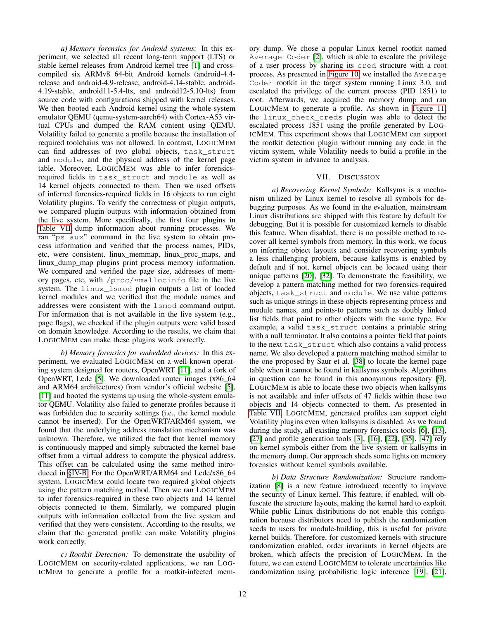*a) Memory forensics for Android systems:* In this experiment, we selected all recent long-term support (LTS) or stable kernel releases from Android kernel tree [\[1\]](#page-12-4) and crosscompiled six ARMv8 64-bit Android kernels (android-4.4 release and android-4.9-release, android-4.14-stable, android-4.19-stable, android11-5.4-lts, and android12-5.10-lts) from source code with configurations shipped with kernel releases. We then booted each Android kernel using the whole-system emulator QEMU (qemu-system-aarch64) with Cortex-A53 virtual CPUs and dumped the RAM content using QEMU. Volatility failed to generate a profile because the installation of required toolchains was not allowed. In contrast, LOGICMEM can find addresses of two global objects, task\_struct and module, and the physical address of the kernel page table. Moreover, LOGICMEM was able to infer forensicsrequired fields in task\_struct and module as well as 14 kernel objects connected to them. Then we used offsets of inferred forensics-required fields in 16 objects to run eight Volatility plugins. To verify the correctness of plugin outputs, we compared plugin outputs with information obtained from the live system. More specifically, the first four plugins in [Table VII](#page-16-1) dump information about running processes. We ran "ps aux" command in the live system to obtain process information and verified that the process names, PIDs, etc, were consistent. linux\_memmap, linux\_proc\_maps, and linux\_dump\_map plugins print process memory information. We compared and verified the page size, addresses of memory pages, etc, with /proc/vmallocinfo file in the live system. The linux\_lsmod plugin outputs a list of loaded kernel modules and we verified that the module names and addresses were consistent with the lsmod command output. For information that is not available in the live system (e.g., page flags), we checked if the plugin outputs were valid based on domain knowledge. According to the results, we claim that LOGICMEM can make these plugins work correctly.

*b) Memory forensics for embedded devices:* In this experiment, we evaluated LOGICMEM on a well-known operating system designed for routers, OpenWRT [\[11\]](#page-13-16), and a fork of OpenWRT, Lede [\[5\]](#page-12-5). We downloaded router images (x86\_64 and ARM64 architectures) from vendor's official website [\[5\]](#page-12-5), [\[11\]](#page-13-16) and booted the systems up using the whole-system emulator QEMU. Volatility also failed to generate profiles because it was forbidden due to security settings (i.e., the kernel module cannot be inserted). For the OpenWRT/ARM64 system, we found that the underlying address translation mechanism was unknown. Therefore, we utilized the fact that kernel memory is continuously mapped and simply subtracted the kernel base offset from a virtual address to compute the physical address. This offset can be calculated using the same method introduced in [§IV-B.](#page-4-3) For the OpenWRT/ARM64 and Lede/x86\_64 system, LOGICMEM could locate two required global objects using the pattern matching method. Then we ran LOGICMEM to infer forensics-required in these two objects and 14 kernel objects connected to them. Similarly, we compared plugin outputs with information collected from the live system and verified that they were consistent. According to the results, we claim that the generated profile can make Volatility plugins work correctly.

*c) Rootkit Detection:* To demonstrate the usability of LOGICMEM on security-related applications, we ran LOG-ICMEM to generate a profile for a rootkit-infected memory dump. We chose a popular Linux kernel rootkit named Average Coder [\[2\]](#page-12-6), which is able to escalate the privilege of a user process by sharing its cred structure with a root process. As presented in [Figure 10,](#page-15-1) we installed the Average Coder rootkit in the target system running Linux 3.0, and escalated the privilege of the current process (PID 1851) to root. Afterwards, we acquired the memory dump and ran LOGICMEM to generate a profile. As shown in [Figure 11,](#page-15-2) the linux\_check\_creds plugin was able to detect the escalated process 1851 using the profile generated by LOG-ICMEM. This experiment shows that LOGICMEM can support the rootkit detection plugin without running any code in the victim system, while Volatility needs to build a profile in the victim system in advance to analysis.

# VII. DISCUSSION

<span id="page-11-0"></span>*a) Recovering Kernel Symbols:* Kallsyms is a mechanism utilized by Linux kernel to resolve all symbols for debugging purposes. As we found in the evaluation, mainstream Linux distributions are shipped with this feature by default for debugging. But it is possible for customized kernels to disable this feature. When disabled, there is no possible method to recover all kernel symbols from memory. In this work, we focus on inferring object layouts and consider recovering symbols a less challenging problem, because kallsyms is enabled by default and if not, kernel objects can be located using their unique patterns [\[20\]](#page-13-14), [\[32\]](#page-13-17). To demonstrate the feasibility, we develop a pattern matching method for two forensics-required objects, task\_struct and module. We use value patterns such as unique strings in these objects representing process and module names, and points-to patterns such as doubly linked list fields that point to other objects with the same type. For example, a valid task\_struct contains a printable string with a null terminator. It also contains a pointer field that points to the next task\_struct which also contains a valid process name. We also developed a pattern matching method similar to the one proposed by Saur et al. [\[38\]](#page-13-18) to locate the kernel page table when it cannot be found in kallsyms symbols. Algorithms in question can be found in this anonymous repository [\[9\]](#page-13-19). LOGICMEM is able to locate these two objects when kallsyms is not available and infer offsets of 47 fields within these two objects and 14 objects connected to them. As presented in [Table VII,](#page-16-1) LOGICMEM, generated profiles can support eight Volatility plugins even when kallsyms is disabled. As we found during the study, all existing memory forensics tools [\[6\]](#page-12-0), [\[13\]](#page-13-0), [\[27\]](#page-13-4) and profile generation tools [\[3\]](#page-12-3), [\[16\]](#page-13-5), [\[22\]](#page-13-6), [\[35\]](#page-13-7), [\[47\]](#page-14-3) rely on kernel symbols either from the live system or kallsyms in the memory dump. Our approach sheds some lights on memory forensics without kernel symbols available.

*b) Data Structure Randomization:* Structure randomization [\[8\]](#page-13-20) is a new feature introduced recently to improve the security of Linux kernel. This feature, if enabled, will obfuscate the structure layouts, making the kernel hard to exploit. While public Linux distributions do not enable this configuration because distributors need to publish the randomization seeds to users for module-building, this is useful for private kernel builds. Therefore, for customized kernels with structure randomization enabled, order invariants in kernel objects are broken, which affects the precision of LOGICMEM. In the future, we can extend LOGICMEM to tolerate uncertainties like randomization using probabilistic logic inference [\[19\]](#page-13-21), [\[21\]](#page-13-22),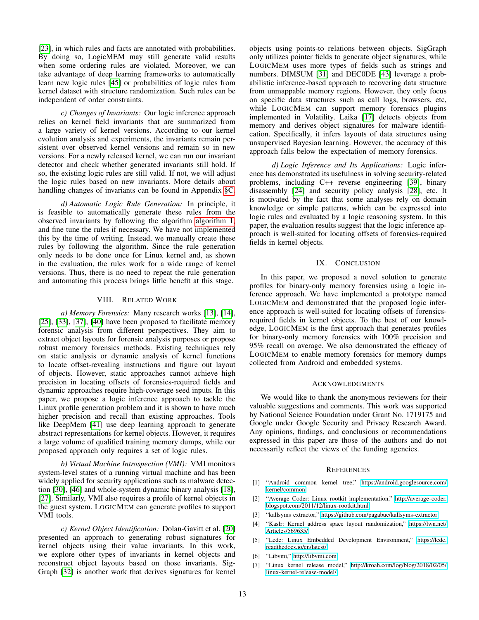[\[23\]](#page-13-23), in which rules and facts are annotated with probabilities. By doing so, LogicMEM may still generate valid results when some ordering rules are violated. Moreover, we can take advantage of deep learning frameworks to automatically learn new logic rules [\[45\]](#page-14-6) or probabilities of logic rules from kernel dataset with structure randomization. Such rules can be independent of order constraints.

*c) Changes of Invariants:* Our logic inference approach relies on kernel field invariants that are summarized from a large variety of kernel versions. According to our kernel evolution analysis and experiments, the invariants remain persistent over observed kernel versions and remain so in new versions. For a newly released kernel, we can run our invariant detector and check whether generated invariants still hold. If so, the existing logic rules are still valid. If not, we will adjust the logic rules based on new invariants. More details about handling changes of invariants can be found in Appendix [§C.](#page-14-1)

*d) Automatic Logic Rule Generation:* In principle, it is feasible to automatically generate these rules from the observed invariants by following the algorithm [algorithm 1,](#page-6-0) and fine tune the rules if necessary. We have not implemented this by the time of writing. Instead, we manually create these rules by following the algorithm. Since the rule generation only needs to be done once for Linux kernel and, as shown in the evaluation, the rules work for a wide range of kernel versions. Thus, there is no need to repeat the rule generation and automating this process brings little benefit at this stage.

#### VIII. RELATED WORK

*a) Memory Forensics:* Many research works [\[13\]](#page-13-0), [\[14\]](#page-13-1), [\[25\]](#page-13-24), [\[33\]](#page-13-25), [\[37\]](#page-13-2), [\[40\]](#page-13-26) have been proposed to facilitate memory forensic analysis from different perspectives. They aim to extract object layouts for forensic analysis purposes or propose robust memory forensics methods. Existing techniques rely on static analysis or dynamic analysis of kernel functions to locate offset-revealing instructions and figure out layout of objects. However, static approaches cannot achieve high precision in locating offsets of forensics-required fields and dynamic approaches require high-coverage seed inputs. In this paper, we propose a logic inference approach to tackle the Linux profile generation problem and it is shown to have much higher precision and recall than existing approaches. Tools like DeepMem [\[41\]](#page-13-27) use deep learning approach to generate abstract representations for kernel objects. However, it requires a large volume of qualified training memory dumps, while our proposed approach only requires a set of logic rules.

*b) Virtual Machine Introspection (VMI):* VMI monitors system-level states of a running virtual machine and has been widely applied for security applications such as malware detection [\[30\]](#page-13-28), [\[46\]](#page-14-7) and whole-system dynamic binary analysis [\[18\]](#page-13-29), [\[27\]](#page-13-4). Similarly, VMI also requires a profile of kernel objects in the guest system. LOGICMEM can generate profiles to support VMI tools.

*c) Kernel Object Identification:* Dolan-Gavitt et al. [\[20\]](#page-13-14) presented an approach to generating robust signatures for kernel objects using their value invariants. In this work, we explore other types of invariants in kernel objects and reconstruct object layouts based on those invariants. Sig-Graph [\[32\]](#page-13-17) is another work that derives signatures for kernel objects using points-to relations between objects. SigGraph only utilizes pointer fields to generate object signatures, while LOGICMEM uses more types of fields such as strings and numbers. DIMSUM [\[31\]](#page-13-30) and DEC0DE [\[43\]](#page-13-31) leverage a probabilistic inference-based approach to recovering data structure from unmappable memory regions. However, they only focus on specific data structures such as call logs, browsers, etc, while LOGICMEM can support memory forensics plugins implemented in Volatility. Laika [\[17\]](#page-13-32) detects objects from memory and derives object signatures for malware identification. Specifically, it infers layouts of data structures using unsupervised Bayesian learning. However, the accuracy of this approach falls below the expectation of memory forensics.

*d) Logic Inference and Its Applications:* Logic inference has demonstrated its usefulness in solving security-related problems, including C++ reverse engineering [\[39\]](#page-13-33), binary disassembly [\[24\]](#page-13-34) and security policy analysis [\[28\]](#page-13-35), etc. It is motivated by the fact that some analyses rely on domain knowledge or simple patterns, which can be expressed into logic rules and evaluated by a logic reasoning system. In this paper, the evaluation results suggest that the logic inference approach is well-suited for locating offsets of forensics-required fields in kernel objects.

#### IX. CONCLUSION

In this paper, we proposed a novel solution to generate profiles for binary-only memory forensics using a logic inference approach. We have implemented a prototype named LOGICMEM and demonstrated that the proposed logic inference approach is well-suited for locating offsets of forensicsrequired fields in kernel objects. To the best of our knowledge, LOGICMEM is the first approach that generates profiles for binary-only memory forensics with 100% precision and 95% recall on average. We also demonstrated the efficacy of LOGICMEM to enable memory forensics for memory dumps collected from Android and embedded systems.

#### ACKNOWLEDGMENTS

We would like to thank the anonymous reviewers for their valuable suggestions and comments. This work was supported by National Science Foundation under Grant No. 1719175 and Google under Google Security and Privacy Research Award. Any opinions, findings, and conclusions or recommendations expressed in this paper are those of the authors and do not necessarily reflect the views of the funding agencies.

## **REFERENCES**

- <span id="page-12-4"></span>[1] "Android common kernel tree," [https://android.googlesource.com/](https://android.googlesource.com/kernel/common) [kernel/common.](https://android.googlesource.com/kernel/common)
- <span id="page-12-6"></span>[2] "Average Coder: Linux rootkit implementation," [http://average-coder.](http://average-coder.blogspot.com/2011/12/linux-rootkit.html) [blogspot.com/2011/12/linux-rootkit.html.](http://average-coder.blogspot.com/2011/12/linux-rootkit.html)
- <span id="page-12-3"></span>[3] "kallsyms extractor," [https://github.com/pagabuc/kallsyms-extractor.](https://github.com/pagabuc/kallsyms-extractor)
- <span id="page-12-2"></span>[4] "Kaslr: Kernel address space layout randomization," [https://lwn.net/](https://lwn.net/Articles/569635/) [Articles/569635/.](https://lwn.net/Articles/569635/)
- <span id="page-12-5"></span>[5] "Lede: Linux Embedded Development Environment," [https://lede.](https://lede.readthedocs.io/en/latest/) [readthedocs.io/en/latest/.](https://lede.readthedocs.io/en/latest/)
- <span id="page-12-0"></span>[6] "Libvmi," [http://libvmi.com.](http://libvmi.com)
- <span id="page-12-1"></span>[7] "Linux kernel release model," [http://kroah.com/log/blog/2018/02/05/](http://kroah.com/log/blog/2018/02/05/linux-kernel-release-model/) [linux-kernel-release-model/.](http://kroah.com/log/blog/2018/02/05/linux-kernel-release-model/)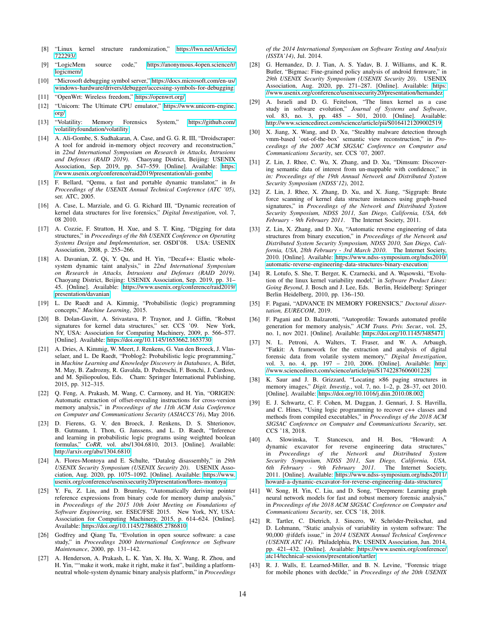- <span id="page-13-20"></span>[8] "Linux kernel structure randomization," [https://lwn.net/Articles/](https://lwn.net/Articles/722293/) [722293/.](https://lwn.net/Articles/722293/)
- <span id="page-13-19"></span>[9] "LogicMem source code," [https://anonymous.4open.science/r/](https://anonymous.4open.science/r/logicmem/) [logicmem/.](https://anonymous.4open.science/r/logicmem/)
- <span id="page-13-3"></span>[10] "Microsoft debugging symbol server," [https://docs.microsoft.com/en-us/](https://docs.microsoft.com/en-us/windows-hardware/drivers/debugger/accessing-symbols-for-debugging) [windows-hardware/drivers/debugger/accessing-symbols-for-debugging.](https://docs.microsoft.com/en-us/windows-hardware/drivers/debugger/accessing-symbols-for-debugging)
- <span id="page-13-16"></span>[11] "OpenWrt: Wireless freedom," [https://openwrt.org/.](https://openwrt.org/)
- <span id="page-13-10"></span>[12] "Unicorn: The Ultimate CPU emulator," [https://www.unicorn-engine.](https://www.unicorn-engine.org/) [org/.](https://www.unicorn-engine.org/)
- <span id="page-13-0"></span>[13] "Volatility: Memory Forensics System," [https://github.com/](https://github.com/volatilityfoundation/volatility) [volatilityfoundation/volatility.](https://github.com/volatilityfoundation/volatility)
- <span id="page-13-1"></span>[14] A. Ali-Gombe, S. Sudhakaran, A. Case, and G. G. R. III, "Droidscraper: A tool for android in-memory object recovery and reconstruction," in *22nd International Symposium on Research in Attacks, Intrusions and Defenses (RAID 2019)*. Chaoyang District, Beijing: USENIX Association, Sep. 2019, pp. 547–559. [Online]. Available: [https:](https://www.usenix.org/conference/raid2019/presentation/ali-gombe) [//www.usenix.org/conference/raid2019/presentation/ali-gombe](https://www.usenix.org/conference/raid2019/presentation/ali-gombe)
- <span id="page-13-15"></span>[15] F. Bellard, "Qemu, a fast and portable dynamic translator," in *In Proceedings of the USENIX Annual Technical Conference (ATC '05)*, ser. ATC, 2005.
- <span id="page-13-5"></span>[16] A. Case, L. Marziale, and G. G. Richard III, "Dynamic recreation of kernel data structures for live forensics," *Digital Investigation*, vol. 7, 08 2010.
- <span id="page-13-32"></span>[17] A. Cozzie, F. Stratton, H. Xue, and S. T. King, "Digging for data structures," in *Proceedings of the 8th USENIX Conference on Operating Systems Design and Implementation*, ser. OSDI'08. USA: USENIX Association, 2008, p. 255–266.
- <span id="page-13-29"></span>[18] A. Davanian, Z. Qi, Y. Qu, and H. Yin, "Decaf++: Elastic wholesystem dynamic taint analysis," in *22nd International Symposium on Research in Attacks, Intrusions and Defenses (RAID 2019)*. Chaoyang District, Beijing: USENIX Association, Sep. 2019, pp. 31– 45. [Online]. Available: [https://www.usenix.org/conference/raid2019/](https://www.usenix.org/conference/raid2019/presentation/davanian) [presentation/davanian](https://www.usenix.org/conference/raid2019/presentation/davanian)
- <span id="page-13-21"></span>[19] L. De Raedt and A. Kimmig, "Probabilistic (logic) programming concepts," *Machine Learning*, 2015.
- <span id="page-13-14"></span>[20] B. Dolan-Gavitt, A. Srivastava, P. Traynor, and J. Giffin, "Robust signatures for kernel data structures," ser. CCS '09. New York, NY, USA: Association for Computing Machinery, 2009, p. 566–577. [Online]. Available:<https://doi.org/10.1145/1653662.1653730>
- <span id="page-13-22"></span>[21] A. Dries, A. Kimmig, W. Meert, J. Renkens, G. Van den Broeck, J. Vlasselaer, and L. De Raedt, "Problog2: Probabilistic logic programming," in *Machine Learning and Knowledge Discovery in Databases*, A. Bifet, M. May, B. Zadrozny, R. Gavalda, D. Pedreschi, F. Bonchi, J. Cardoso, and M. Spiliopoulou, Eds. Cham: Springer International Publishing, 2015, pp. 312–315.
- <span id="page-13-6"></span>[22] Q. Feng, A. Prakash, M. Wang, C. Carmony, and H. Yin, "ORIGEN: Automatic extraction of offset-revealing instructions for cross-version memory analysis," in *Proceedings of the 11th ACM Asia Conference on Computer and Communications Security (ASIACCS'16)*, May 2016.
- <span id="page-13-23"></span>[23] D. Fierens, G. V. den Broeck, J. Renkens, D. S. Shterionov, B. Gutmann, I. Thon, G. Janssens, and L. D. Raedt, "Inference and learning in probabilistic logic programs using weighted boolean formulas," *CoRR*, vol. abs/1304.6810, 2013. [Online]. Available: <http://arxiv.org/abs/1304.6810>
- <span id="page-13-34"></span>[24] A. Flores-Montoya and E. Schulte, "Datalog disassembly," in *29th USENIX Security Symposium (USENIX Security 20)*. USENIX Association, Aug. 2020, pp. 1075–1092. [Online]. Available: [https://www.](https://www.usenix.org/conference/usenixsecurity20/presentation/flores-montoya) [usenix.org/conference/usenixsecurity20/presentation/flores-montoya](https://www.usenix.org/conference/usenixsecurity20/presentation/flores-montoya)
- <span id="page-13-24"></span>[25] Y. Fu, Z. Lin, and D. Brumley, "Automatically deriving pointer reference expressions from binary code for memory dump analysis," in *Proceedings of the 2015 10th Joint Meeting on Foundations of Software Engineering*, ser. ESEC/FSE 2015. New York, NY, USA: Association for Computing Machinery, 2015, p. 614–624. [Online]. Available:<https://doi.org/10.1145/2786805.2786810>
- <span id="page-13-11"></span>[26] Godfrey and Qiang Tu, "Evolution in open source software: a case study," in *Proceedings 2000 International Conference on Software Maintenance*, 2000, pp. 131–142.
- <span id="page-13-4"></span>[27] A. Henderson, A. Prakash, L. K. Yan, X. Hu, X. Wang, R. Zhou, and H. Yin, ""make it work, make it right, make it fast", building a platformneutral whole-system dynamic binary analysis platform," in *Proceedings*

*of the 2014 International Symposium on Software Testing and Analysis (ISSTA'14)*, Jul. 2014.

- <span id="page-13-35"></span>[28] G. Hernandez, D. J. Tian, A. S. Yadav, B. J. Williams, and K. R. Butler, "Bigmac: Fine-grained policy analysis of android firmware," in *29th USENIX Security Symposium (USENIX Security 20)*. USENIX Association, Aug. 2020, pp. 271–287. [Online]. Available: [https:](https://www.usenix.org/conference/usenixsecurity20/presentation/hernandez) [//www.usenix.org/conference/usenixsecurity20/presentation/hernandez](https://www.usenix.org/conference/usenixsecurity20/presentation/hernandez)
- <span id="page-13-13"></span>[29] A. Israeli and D. G. Feitelson, "The linux kernel as a case study in software evolution," *Journal of Systems and Software*, vol. 83, no. 3, pp. 485 – 501, 2010. [Online]. Available: <http://www.sciencedirect.com/science/article/pii/S0164121209002519>
- <span id="page-13-28"></span>[30] X. Jiang, X. Wang, and D. Xu, "Stealthy malware detection through vmm-based 'out-of-the-box' semantic view reconstruction," in *Proceedings of the 2007 ACM SIGSAC Conference on Computer and Communications Security*, ser. CCS '07, 2007.
- <span id="page-13-30"></span>[31] Z. Lin, J. Rhee, C. Wu, X. Zhang, and D. Xu, "Dimsum: Discovering semantic data of interest from un-mappable with confidence," in *in: Proceedings of the 19th Annual Network and Distributed System Security Symposium (NDSS'12)*, 2012.
- <span id="page-13-17"></span>[32] Z. Lin, J. Rhee, X. Zhang, D. Xu, and X. Jiang, "Siggraph: Brute force scanning of kernel data structure instances using graph-based signatures," in *Proceedings of the Network and Distributed System Security Symposium, NDSS 2011, San Diego, California, USA, 6th February - 9th February 2011*. The Internet Society, 2011.
- <span id="page-13-25"></span>[33] Z. Lin, X. Zhang, and D. Xu, "Automatic reverse engineering of data structures from binary execution," in *Proceedings of the Network and Distributed System Security Symposium, NDSS 2010, San Diego, California, USA, 28th February - 3rd March 2010*. The Internet Society, 2010. [Online]. Available: [https://www.ndss-symposium.org/ndss2010/](https://www.ndss-symposium.org/ndss2010/automatic-reverse-engineering-data-structures-binary-execution) [automatic-reverse-engineering-data-structures-binary-execution](https://www.ndss-symposium.org/ndss2010/automatic-reverse-engineering-data-structures-binary-execution)
- <span id="page-13-12"></span>[34] R. Lotufo, S. She, T. Berger, K. Czarnecki, and A. Wasowski, "Evolution of the linux kernel variability model," in *Software Product Lines: Going Beyond*, J. Bosch and J. Lee, Eds. Berlin, Heidelberg: Springer Berlin Heidelberg, 2010, pp. 136–150.
- <span id="page-13-7"></span>[35] F. Pagani, "ADVANCE IN MEMORY FORENSICS," *Doctoral dissertation, EURECOM*, 2019.
- <span id="page-13-8"></span>[36] F. Pagani and D. Balzarotti, "Autoprofile: Towards automated profile generation for memory analysis," *ACM Trans. Priv. Secur.*, vol. 25, no. 1, nov 2021. [Online]. Available:<https://doi.org/10.1145/3485471>
- <span id="page-13-2"></span>[37] N. L. Petroni, A. Walters, T. Fraser, and W. A. Arbaugh, "Fatkit: A framework for the extraction and analysis of digital forensic data from volatile system memory," *Digital Investigation*, vol. 3, no. 4, pp. 197 – 210, 2006. [Online]. Available: [http:](http://www.sciencedirect.com/science/article/pii/S1742287606001228) [//www.sciencedirect.com/science/article/pii/S1742287606001228](http://www.sciencedirect.com/science/article/pii/S1742287606001228)
- <span id="page-13-18"></span>[38] K. Saur and J. B. Grizzard, "Locating ×86 paging structures in memory images," *Digit. Investig.*, vol. 7, no. 1–2, p. 28–37, oct 2010. [Online]. Available:<https://doi.org/10.1016/j.diin.2010.08.002>
- <span id="page-13-33"></span>[39] E. J. Schwartz, C. F. Cohen, M. Duggan, J. Gennari, J. S. Havrilla, and C. Hines, "Using logic programming to recover c++ classes and methods from compiled executables," in *Proceedings of the 2018 ACM SIGSAC Conference on Computer and Communications Security*, ser. CCS '18, 2018.
- <span id="page-13-26"></span>[40] A. Slowinska, T. Stancescu, and H. Bos, "Howard: A dynamic excavator for reverse engineering data structures," in *Proceedings of the Network and Distributed System Security Symposium, NDSS 2011, San Diego, California, USA, 6th February - 9th February 2011*. The Internet Society, 2011. [Online]. Available: [https://www.ndss-symposium.org/ndss2011/](https://www.ndss-symposium.org/ndss2011/howard-a-dynamic-excavator-for-reverse-engineering-data-structures) [howard-a-dynamic-excavator-for-reverse-engineering-data-structures](https://www.ndss-symposium.org/ndss2011/howard-a-dynamic-excavator-for-reverse-engineering-data-structures)
- <span id="page-13-27"></span>[41] W. Song, H. Yin, C. Liu, and D. Song, "Deepmem: Learning graph neural network models for fast and robust memory forensic analysis," in *Proceedings of the 2018 ACM SIGSAC Conference on Computer and Communications Security*, ser. CCS '18, 2018.
- <span id="page-13-9"></span>[42] R. Tartler, C. Dietrich, J. Sincero, W. Schröder-Preikschat, and D. Lohmann, "Static analysis of variability in system software: The 90,000 #ifdefs issue," in *2014 USENIX Annual Technical Conference (USENIX ATC 14)*. Philadelphia, PA: USENIX Association, Jun. 2014, pp. 421–432. [Online]. Available: [https://www.usenix.org/conference/](https://www.usenix.org/conference/atc14/technical-sessions/presentation/tartler) [atc14/technical-sessions/presentation/tartler](https://www.usenix.org/conference/atc14/technical-sessions/presentation/tartler)
- <span id="page-13-31"></span>[43] R. J. Walls, E. Learned-Miller, and B. N. Levine, "Forensic triage for mobile phones with dec0de," in *Proceedings of the 20th USENIX*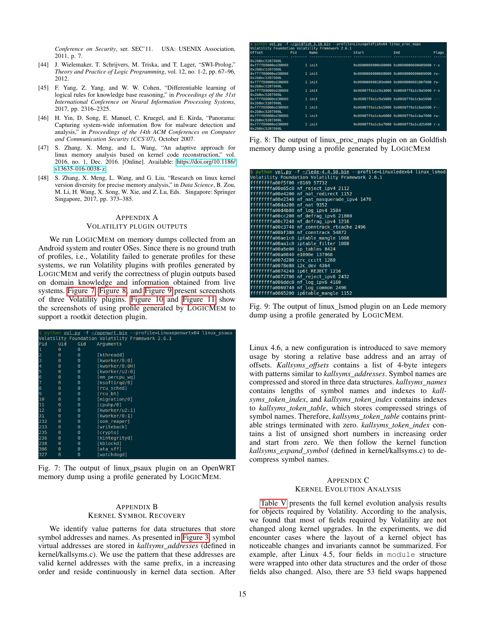*Conference on Security*, ser. SEC'11. USA: USENIX Association, 2011, p. 7.

- <span id="page-14-4"></span>[44] J. Wielemaker, T. Schrijvers, M. Triska, and T. Lager, "SWI-Prolog," *Theory and Practice of Logic Programming*, vol. 12, no. 1-2, pp. 67–96, 2012.
- <span id="page-14-6"></span>[45] F. Yang, Z. Yang, and W. W. Cohen, "Differentiable learning of logical rules for knowledge base reasoning," in *Proceedings of the 31st International Conference on Neural Information Processing Systems*, 2017, pp. 2316–2325.
- <span id="page-14-7"></span>[46] H. Yin, D. Song, E. Manuel, C. Kruegel, and E. Kirda, "Panorama: Capturing system-wide information flow for malware detection and analysis," in *Proceedings of the 14th ACM Conferences on Computer and Communication Security (CCS'07)*, October 2007.
- <span id="page-14-3"></span>[47] S. Zhang, X. Meng, and L. Wang, "An adaptive approach for linux memory analysis based on kernel code reconstruction," vol. 2016, no. 1, Dec. 2016. [Online]. Available: [https://doi.org/10.1186/](https://doi.org/10.1186/s13635-016-0038-z) [s13635-016-0038-z](https://doi.org/10.1186/s13635-016-0038-z)
- <span id="page-14-0"></span>[48] S. Zhang, X. Meng, L. Wang, and G. Liu, "Research on linux kernel version diversity for precise memory analysis," in *Data Science*, B. Zou, M. Li, H. Wang, X. Song, W. Xie, and Z. Lu, Eds. Singapore: Springer Singapore, 2017, pp. 373–385.

#### <span id="page-14-5"></span>APPENDIX A VOLATILITY PLUGIN OUTPUTS

We run LOGICMEM on memory dumps collected from an Android system and router OSes. Since there is no ground truth of profiles, i.e., Volatility failed to generate profiles for these systems, we run Volatility plugins with profiles generated by LOGICMEM and verify the correctness of plugin outputs based on domain knowledge and information obtained from live systems. [Figure 7,](#page-14-8) [Figure 8,](#page-14-9) and [Figure 9](#page-14-10) present screenshots of three Volatility plugins. [Figure 10](#page-15-1) and [Figure 11](#page-15-2) show the screenshots of using profile generated by LOGICMEM to support a rootkit detection plugin.

<span id="page-14-8"></span>

|     |          |          | python vol.py -f -/openwrt.bin --profile=Linuxopenwrtx64 linux psaux |
|-----|----------|----------|----------------------------------------------------------------------|
|     |          |          | Volatility Foundation Volatility Framework 2.6.1                     |
| Pid | Uid      | Gid      | Arguments                                                            |
|     | $\Theta$ | $\Theta$ |                                                                      |
| 2   | $\Theta$ | $\Theta$ | [kthreadd]                                                           |
| 3   | $\Theta$ | $\Theta$ | [kworker/0:0]                                                        |
| 4   | $\Theta$ | $\Theta$ | [kworker/0:0H]                                                       |
| 5   | $\Theta$ | $\Theta$ | [kworker/uz:0]                                                       |
| 6   | $\Theta$ | $\Theta$ | [mm percpu wq]                                                       |
|     | $\Theta$ | $\Theta$ | [ksoftirqd/0]                                                        |
| 8   | $\Theta$ | $\Theta$ | [rcu sched]                                                          |
| 9   | $\Theta$ | $\Theta$ | [rcu bh]                                                             |
| 10  | $\Theta$ | $\Theta$ | [migration/0]                                                        |
| 11  | $\Theta$ | $\Theta$ | [cpuhp/0]                                                            |
| 12  | $\Theta$ | $\Theta$ | [kworker/u2:1]                                                       |
| 31  | $\Theta$ | $\Theta$ | [kworker/0:1]                                                        |
| 232 | $\Theta$ | $\Theta$ | [oom reaper]                                                         |
| 233 | $\Theta$ | $\Theta$ | [writeback]                                                          |
| 235 | $\Theta$ | $\Theta$ | [crypto]                                                             |
| 236 | $\Theta$ | $\Theta$ | [kintegrityd]                                                        |
| 238 | $\Theta$ | $\Theta$ | [kblockd]                                                            |
| 306 | $\Theta$ | $\Theta$ | [ata sff]                                                            |
| 327 | $\Theta$ | $\Theta$ | [watchdogd]                                                          |

Fig. 7: The output of linux\_psaux plugin on an OpenWRT memory dump using a profile generated by LOGICMEM.

# <span id="page-14-2"></span>APPENDIX B KERNEL SYMBOL RECOVERY

We identify value patterns for data structures that store symbol addresses and names. As presented in [Figure 3,](#page-4-1) symbol virtual addresses are stored in *kallsyms\_addresses* (defined in kernel/kallsyms.c). We use the pattern that these addresses are valid kernel addresses with the same prefix, in a increasing order and reside continuously in kernel data section. After

<span id="page-14-9"></span>

|                                       |     | \$ python <b>vol.py -f ~/qoldfish 3.18.bin --profile=Linuxqoldfishx64 linux proc maps</b><br>Volatility Foundation Volatility Framework 2.6.1 |       |                                            |       |
|---------------------------------------|-----|-----------------------------------------------------------------------------------------------------------------------------------------------|-------|--------------------------------------------|-------|
| Offset.                               | Pid | Name                                                                                                                                          | Start | <b>Fnd</b>                                 | Flags |
| 0x2b8ec5207000L                       |     |                                                                                                                                               |       |                                            |       |
| 0xffff88000ed30000                    |     | 1 init                                                                                                                                        |       | 0x0000000000400000 0x0000000000409000 r-x  |       |
| 0x2b8ec5207000L                       |     |                                                                                                                                               |       |                                            |       |
| 0xffff88000ed30000                    |     | 1 init                                                                                                                                        |       | 0x0000000000608000 0x00000000000609000 rw- |       |
| 0x2b8ec5207000L                       |     |                                                                                                                                               |       |                                            |       |
| 0xffff88000ed30000                    |     | $1$ init                                                                                                                                      |       | 0x000000000109e000 0x00000000010bf000 rw-  |       |
| 0x2b8ec5207000L<br>0xffff88000ed30000 |     | $1$ init                                                                                                                                      |       | 0x00007f8a1c9a3000 0x00007f8a1c9a5000 r-x  |       |
| 0x2b8ec5207000L                       |     |                                                                                                                                               |       |                                            |       |
| 0xffff88000ed30000                    |     | 1 init                                                                                                                                        |       | 0x00007f8alc9a5000 0x00007f8alcba5000 ---  |       |
| 0x2b8ec5207000L                       |     |                                                                                                                                               |       |                                            |       |
| 0xffff88000ed30000                    |     | 1 init                                                                                                                                        |       | 0x00007f8alcba5000 0x00007f8alcba6000 r--  |       |
| 0x2b8ec5207000L                       |     |                                                                                                                                               |       |                                            |       |
| 0xffff88000ed30000                    |     | 1 init                                                                                                                                        |       | 0x00007f8alcha6000 0x00007f8alcha7000 rw-  |       |
| 0x2b8ec5207000L                       |     |                                                                                                                                               |       |                                            |       |
| 0xffff88000ed30000                    |     | $1$ init                                                                                                                                      |       | 0x00007f8a1cba7000 0x00007f8a1cd2b000 r-x  |       |
| 0x2b8ec5207000L                       |     |                                                                                                                                               |       |                                            |       |

Fig. 8: The output of linux\_proc\_maps plugin on an Goldfish memory dump using a profile generated by LOGICMEM

<span id="page-14-10"></span>

| \$ python vol.py -f -/lede-4.4.50.bin --profile=Linuxledex64 linux lsmod |
|--------------------------------------------------------------------------|
| Volatility Foundation Volatility Framework 2.6.1                         |
| ffffffffa00f5f00 r8169 57732                                             |
| fffffffffa00e65c0 nf reject ipv4 2112                                    |
| ffffffffa00e4200 nf nat redirect 1152                                    |
| ffffffffa00e2340 nf nat masquerade ipv4 1476                             |
| ffffffffa00da200 nf nat 9352                                             |
| ffffffffa00d4b80 nf log ipv4 3584                                        |
| ffffffffa00cc200 nf defrag ipv6 21800                                    |
| ffffffffa00c7240 nf defrag ipv4 1216                                     |
| ffffffffa00c3740 nf conntrack rtcache 2496                               |
| ffffffffa00bf380 nf conntrack 54872                                      |
| fffffffffa00ae1c0 iptable mangle 1088                                    |
| fffffffffa00aa1c0 iptable filter 1088                                    |
| ffffffffa00a5e00 ip tables 8424                                          |
| ffffffffa00a0840 e1000e 137968                                           |
| ffffffffa007d280 crc ccitt 1280                                          |
| ffffffffa0078e80 i2c dev 4364                                            |
| ffffffffa0074240 ip6t REJECT 1216                                        |
| fffffffffa0072700 nf reject ipv6 2432                                    |
| ffffffffa006ddc0 nf log ipv6 4160                                        |
| ffffffffa0069740 nf log common 2496                                      |
| ffffffffa0065200 ip6table mangle 1152                                    |

Fig. 9: The output of linux\_lsmod plugin on an Lede memory dump using a profile generated by LOGICMEM.

Linux 4.6, a new configuration is introduced to save memory usage by storing a relative base address and an array of offsets. *Kallsyms\_offsets* contains a list of 4-byte integers with patterns similar to *kallsyms\_addresses*. Symbol names are compressed and stored in three data structures. *kallsyms\_names* contains lengths of symbol names and indexes to *kallsyms\_token\_index*, and *kallsyms\_token\_index* contains indexes to *kallsyms\_token\_table*, which stores compressed strings of symbol names. Therefore, *kallsyms\_token\_table* contains printable strings terminated with zero. *kallsyms\_token\_index* contains a list of unsigned short numbers in increasing order and start from zero. We then follow the kernel function *kallsyms\_expand\_symbol* (defined in kernel/kallsyms.c) to decompress symbol names.

#### <span id="page-14-1"></span>APPENDIX C KERNEL EVOLUTION ANALYSIS

[Table V](#page-15-0) presents the full kernel evolution analysis results for objects required by Volatility. According to the analysis, we found that most of fields required by Volatility are not changed along kernel upgrades. In the experiments, we did encounter cases where the layout of a kernel object has noticeable changes and invariants cannot be summarized. For example, after Linux 4.5, four fields in module structure were wrapped into other data structures and the order of those fields also changed. Also, there are 53 field swaps happened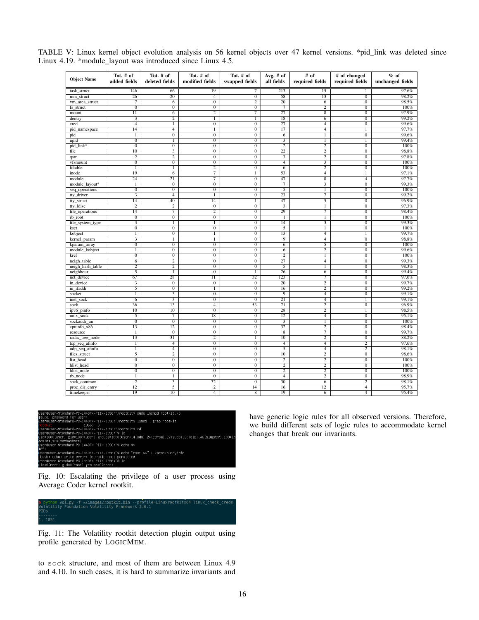| <b>Object Name</b> | Tot. # of<br>added fields | Tot. # of<br>deleted fields | Tot. # of<br>modified fields     | Tot. # of<br>swapped fields      | Avg. $#$ of<br>all fields | # of<br>required fields | # of changed<br>required fields  | $%$ of<br>unchanged fields |
|--------------------|---------------------------|-----------------------------|----------------------------------|----------------------------------|---------------------------|-------------------------|----------------------------------|----------------------------|
|                    |                           |                             |                                  |                                  |                           |                         |                                  |                            |
| task struct        | 146                       | 66                          | 19                               | $\overline{7}$                   | 213                       | $\overline{15}$         | T                                | 97.6%                      |
| mm struct          | $\overline{26}$           | $\overline{20}$             | $\overline{4}$                   | $\overline{0}$                   | 58                        | $\overline{13}$         | $\overline{0}$                   | 98.2%                      |
| vm_area_struct     | $\overline{7}$            | 6                           | $\overline{0}$                   | $\overline{2}$                   | $\overline{20}$           | 6                       | $\overline{0}$                   | 98.5%                      |
| fs struct          | $\overline{0}$            | $\overline{0}$              | $\overline{0}$                   | $\overline{0}$                   | $\overline{\tau}$         | $\overline{2}$          | $\overline{0}$                   | 100%                       |
| mount              | $\overline{11}$           | $\overline{6}$              | $\overline{2}$                   | $\overline{\tau}$                | $\overline{27}$           | $\overline{8}$          | $\overline{0}$                   | 97.9%                      |
| dentry             |                           | $\overline{2}$              | 1                                | 1                                | $\overline{18}$           | 6                       | $\overline{0}$                   | 99.2%                      |
| cred               | $\overline{4}$            | T                           | $\overline{0}$                   | $\overline{0}$                   | $\overline{27}$           | $\overline{4}$          | $\overline{0}$                   | 99.6%                      |
| pid_namespace      | $\overline{14}$           | $\overline{4}$              | T                                | $\overline{0}$                   | $\overline{17}$           | $\overline{4}$          | 1                                | 97.7%                      |
| pid                | $\overline{1}$            | $\overline{0}$              | $\overline{0}$                   | $\overline{0}$                   | $\overline{6}$            | $\overline{1}$          | $\overline{0}$                   | 99.6%                      |
| upid               | $\overline{0}$            | 1                           | $\overline{0}$                   | $\overline{0}$                   | 3                         | 1                       | 1                                | 99.4%                      |
| pid link*          | $\overline{0}$            | $\overline{0}$              | $\overline{0}$                   | $\overline{0}$                   | $\overline{2}$            | $\overline{2}$          | $\overline{0}$                   | 100%                       |
| file               | $\overline{10}$           |                             | $\overline{0}$                   | $\overline{0}$                   | $\overline{22}$           | $\overline{2}$          | $\overline{0}$                   | 98.8%                      |
| qstr               | 2                         | 2                           | $\overline{0}$                   | $\overline{0}$                   | 3                         | 2                       | $\overline{0}$                   | 97.8%                      |
| vfsmount           | $\overline{0}$            | $\overline{0}$              | $\overline{0}$                   | $\overline{0}$                   | $\overline{4}$            |                         | $\overline{0}$                   | 100%                       |
| fdtable            | T                         | T                           | $\overline{2}$                   | $\overline{0}$                   | $\overline{6}$            | $\overline{2}$          | $\overline{0}$                   | 100%                       |
| inode              | 19                        | 6                           | 7                                | 1                                | 53                        | $\overline{4}$          | $\mathbf{1}$                     | 97.1%                      |
| module             | 24                        | 21                          | 7                                | $\overline{0}$                   | 47                        | $\overline{8}$          | $\overline{4}$                   | 97.7%                      |
| module_layout*     | $\overline{1}$            | $\overline{0}$              | $\overline{0}$                   | $\overline{0}$                   | $\overline{7}$            |                         | $\overline{0}$                   | 99.3%                      |
| seq_operations     | $\overline{0}$            | $\overline{0}$              | $\overline{0}$                   | $\overline{0}$                   | 5                         | T                       | $\overline{0}$                   | 100%                       |
| tty_driver         | 3                         | $\overline{4}$              | T                                | $\overline{0}$                   | 23                        | 7                       | $\overline{0}$                   | 99.2%                      |
| tty_struct         | $\overline{14}$           | $\overline{40}$             | $\overline{14}$                  | $\overline{1}$                   | 47                        | $\overline{5}$          | $\overline{0}$                   | 96.9%                      |
| tty_ldisc          | $\overline{2}$            | $\overline{2}$              | $\overline{0}$                   | $\overline{0}$                   | $\overline{\mathbf{3}}$   | $\mathbf{1}$            | $\overline{0}$                   | 97.3%                      |
| file_operations    | 14                        | 7                           | $\overline{2}$                   | $\overline{0}$                   | 29                        | 7                       | $\overline{0}$                   | 98.4%                      |
| rb root            | $\overline{0}$            | $\overline{0}$              | $\overline{0}$                   | $\overline{0}$                   | $\overline{1}$            | 1                       | $\overline{0}$                   | 100%                       |
| file_system_type   | $\overline{\mathbf{3}}$   | $\overline{1}$              | $\overline{1}$                   | $\overline{0}$                   | 14                        | $\overline{\mathbf{3}}$ | $\overline{0}$                   | 99.3%                      |
| kset               | $\overline{0}$            | $\overline{0}$              | $\overline{0}$                   | $\overline{0}$                   | 5                         | 1                       | $\overline{0}$                   | 100%                       |
| kobject            | T                         | $\overline{0}$              | T                                | $\overline{0}$                   | 13                        | $\overline{4}$          | T                                | 99.7%                      |
| kernel_param       |                           | $\overline{1}$              | $\overline{1}$                   | $\overline{0}$                   | $\overline{9}$            | $\overline{4}$          | $\overline{0}$                   | 98.8%                      |
| kparam_array       | $\overline{0}$            | $\overline{0}$              | $\overline{0}$                   | $\overline{0}$                   | 6                         | 5                       | $\overline{0}$                   | 100%                       |
| module_kobject     | 1                         | $\overline{0}$              | $\overline{0}$                   | $\overline{0}$                   | $\overline{6}$            | $\overline{2}$          | $\overline{0}$                   | 99.6%                      |
| kref               | $\overline{0}$            | $\overline{0}$              | $\overline{0}$                   | $\overline{0}$                   | $\overline{2}$            | $\overline{1}$          | $\overline{0}$                   | 100%                       |
| neigh_table        | 6                         | $\overline{2}$              | $\overline{0}$                   | $\overline{0}$                   | 27                        | $\overline{4}$          | $\overline{0}$                   | 99.3%                      |
| neigh_hash_table   | $\overline{2}$            | $\overline{2}$              | $\overline{0}$                   | $\overline{0}$                   | $\overline{5}$            | T                       | $\overline{0}$                   | 98.3%                      |
| neighbour          | $\overline{5}$            | $\overline{1}$              | $\overline{0}$                   | T                                | $\overline{26}$<br>123    | $\overline{6}$          | $\overline{0}$<br>$\overline{0}$ | 99.4%<br>97.6%             |
| net device         | 67                        | 28                          | 11                               | 32                               |                           | 7                       |                                  |                            |
| in_device          | $\overline{\mathbf{3}}$   | $\overline{0}$              | $\overline{0}$                   | $\overline{0}$                   | $\overline{20}$           | $\overline{2}$          | $\overline{0}$                   | 99.7%                      |
| in_ifaddr          | $\overline{5}$            | $\overline{0}$              | $\overline{1}$<br>$\overline{0}$ | $\overline{0}$<br>$\overline{0}$ | 16<br>$\overline{9}$      | $\overline{2}$          | $\overline{0}$                   | 99.2%<br>99.1%             |
| socket             | T                         | 3                           |                                  |                                  |                           | $\overline{4}$          | $\overline{0}$                   |                            |
| inet_sock          | $\overline{6}$            |                             | $\overline{0}$                   | $\overline{0}$                   | $\overline{21}$           | $\overline{4}$          | T                                | 99.1%                      |
| sock               | 36                        | 13                          | $\overline{4}$                   | 53                               | $\overline{71}$           | $\overline{2}$          | $\overline{0}$                   | 96.9%                      |
| ipv6_pinfo         | 10                        | 10                          | $\overline{0}$                   | $\overline{0}$                   | 28                        | $\overline{2}$          | T                                | 98.5%                      |
| unix_sock          | 5                         | 7                           | $\overline{18}$                  | $\overline{0}$                   | $\overline{12}$           | $\overline{4}$          | $\overline{0}$                   | 95.1%                      |
| sockaddr_un        | $\overline{0}$            | $\overline{0}$              | $\overline{0}$                   | $\overline{0}$                   |                           | $\overline{1}$          | $\overline{0}$                   | 100%                       |
| cpuinfo x86        | 13                        | 12                          | $\overline{0}$                   | $\overline{0}$                   | 32                        | $\overline{2}$          | $\overline{0}$                   | 98.4%                      |
| resource           | 1                         | $\overline{0}$              | $\overline{0}$                   | $\overline{0}$                   | $\overline{8}$            | 7                       | $\overline{0}$                   | 99.7%                      |
| radix_tree_node    | $\overline{13}$           | $\overline{31}$             | $\overline{2}$                   | $\overline{1}$                   | $\overline{10}$           | $\overline{2}$          | $\overline{0}$                   | 88.2%                      |
| tcp_seq_afinfo     | $\mathbf{1}$              | $\overline{4}$              | $\overline{0}$                   | $\overline{0}$                   | $\overline{4}$            | $\overline{4}$          | $\overline{2}$                   | 97.6%                      |
| udp_seq_afinfo     | 1                         | $\overline{4}$              | $\overline{0}$                   | $\overline{0}$                   | $\overline{5}$            | $\overline{4}$          | $\overline{2}$                   | 98.1%                      |
| files_struct       | $\overline{5}$            | $\overline{2}$              | $\overline{0}$                   | $\overline{0}$                   | $\overline{10}$           | $\overline{2}$          | $\overline{0}$                   | 98.6%                      |
| list_head          | $\overline{0}$            | $\overline{0}$              | $\overline{0}$                   | $\overline{0}$                   | $\overline{2}$            | $\overline{2}$          | $\overline{0}$                   | 100%                       |
| hlist head         | $\overline{0}$            | $\overline{0}$              | $\overline{0}$                   | $\overline{0}$                   | $\overline{2}$            | $\overline{2}$          | $\overline{0}$                   | 100%                       |
| hlist node         | $\overline{0}$            | $\overline{0}$              | $\overline{0}$                   | $\overline{0}$                   | $\overline{2}$            | $\overline{2}$          | $\overline{0}$                   | 100%                       |
| rb_node            | $\overline{1}$            | $\overline{1}$              | $\overline{0}$                   | $\overline{0}$                   | $\overline{4}$            | $\overline{2}$          | $\overline{0}$                   | 98.9%                      |
| sock_common        | 2                         | 3                           | 32                               | $\overline{0}$                   | 30                        | 6                       | $\overline{2}$                   | 98.1%                      |
| proc dir entry     | $\overline{12}$           | $\overline{5}$              | $\overline{2}$                   | $\overline{14}$                  | $\overline{16}$           | $\overline{12}$         | $\overline{4}$                   | 95.7%                      |
| timekeeper         | $\overline{19}$           | $\overline{10}$             | $\overline{4}$                   | $\overline{8}$                   | $\overline{19}$           | 6                       | $\overline{4}$                   | 95.4%                      |

<span id="page-15-0"></span>TABLE V: Linux kernel object evolution analysis on 56 kernel objects over 47 kernel versions. \*pid\_link was deleted since Linux 4.19. \*module\_layout was introduced since Linux 4.5.

<span id="page-15-1"></span>.<br>i440FX–PIIX–1996:~/rootkit\$ sudo insmod rootkit.k for user:<br>rd–PC–i440FX–PIIX–1996:~⁄rootkit\$ lsmod | grep rootkit<br>- 13660 0 standard-ru-140-112-1996: /rootkit\$ ismod | grep rootkit<br>Standard-PC-1440FX-PIIK-1996:~/rootkit\$ cd<br>Standard-PC-1440FX-PIIK-1996:~~\$ id<br>Standard-PC-1440FX-PIIK-1996:~~\$ id<br>(sambashare)<br>(sambashare) 9)<br>C−144OFX−PIIX−1996:~\$ echo \$\$

andard–PC–i440FX–PIIX–1996:~% echo "root \$\$" > /proc/buddyinfo<br>write error: Operation not permitted<br>andard–PC–i440FX–PIIX–1996:~% id<br>gid=O(root) groups=O(root)

Fig. 10: Escalating the privilege of a user process using Average Coder kernel rootkit.

<span id="page-15-2"></span>

Fig. 11: The Volatility rootkit detection plugin output using profile generated by LOGICMEM.

to sock structure, and most of them are between Linux 4.9 and 4.10. In such cases, it is hard to summarize invariants and have generic logic rules for all observed versions. Therefore, we build different sets of logic rules to accommodate kernel changes that break our invariants.